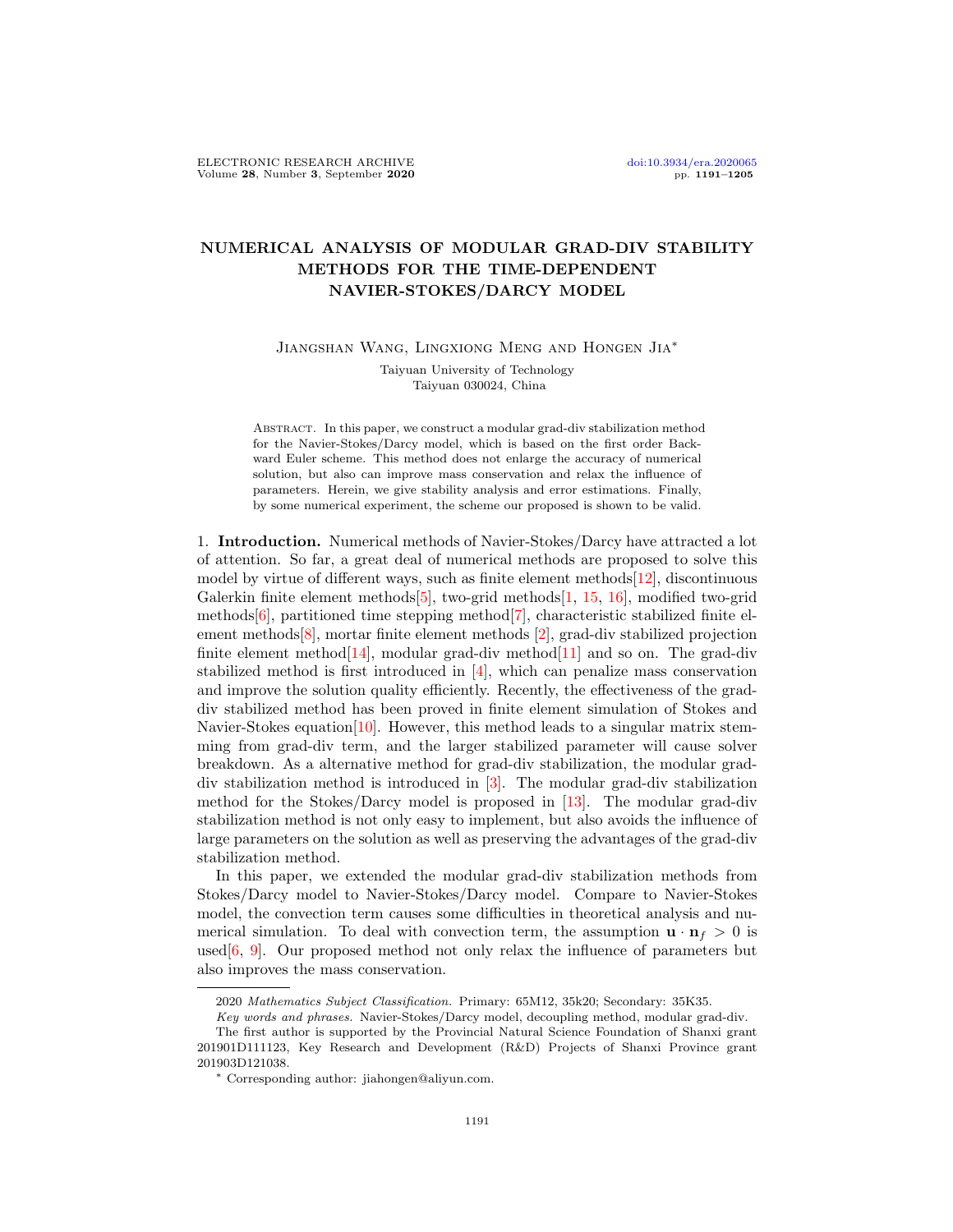## NUMERICAL ANALYSIS OF MODULAR GRAD-DIV STABILITY METHODS FOR THE TIME-DEPENDENT NAVIER-STOKES/DARCY MODEL

Jiangshan Wang, Lingxiong Meng and Hongen Jia∗

Taiyuan University of Technology Taiyuan 030024, China

Abstract. In this paper, we construct a modular grad-div stabilization method for the Navier-Stokes/Darcy model, which is based on the first order Backward Euler scheme. This method does not enlarge the accuracy of numerical solution, but also can improve mass conservation and relax the influence of parameters. Herein, we give stability analysis and error estimations. Finally, by some numerical experiment, the scheme our proposed is shown to be valid.

1. Introduction. Numerical methods of Navier-Stokes/Darcy have attracted a lot of attention. So far, a great deal of numerical methods are proposed to solve this model by virtue of different ways, such as finite element methods  $[12]$ , discontinuous Galerkin finite element methods[\[5\]](#page-13-0), two-grid methods[\[1,](#page-13-1) [15,](#page-14-1) [16\]](#page-14-2), modified two-grid methods[\[6\]](#page-13-2), partitioned time stepping method $[7]$ , characteristic stabilized finite element methods[\[8\]](#page-13-4), mortar finite element methods [\[2\]](#page-13-5), grad-div stabilized projection finite element method  $[14]$ , modular grad-div method  $[11]$  and so on. The grad-div stabilized method is first introduced in [\[4\]](#page-13-7), which can penalize mass conservation and improve the solution quality efficiently. Recently, the effectiveness of the graddiv stabilized method has been proved in finite element simulation of Stokes and Navier-Stokes equation[\[10\]](#page-13-8). However, this method leads to a singular matrix stemming from grad-div term, and the larger stabilized parameter will cause solver breakdown. As a alternative method for grad-div stabilization, the modular graddiv stabilization method is introduced in [\[3\]](#page-13-9). The modular grad-div stabilization method for the Stokes/Darcy model is proposed in [\[13\]](#page-14-4). The modular grad-div stabilization method is not only easy to implement, but also avoids the influence of large parameters on the solution as well as preserving the advantages of the grad-div stabilization method.

In this paper, we extended the modular grad-div stabilization methods from Stokes/Darcy model to Navier-Stokes/Darcy model. Compare to Navier-Stokes model, the convection term causes some difficulties in theoretical analysis and numerical simulation. To deal with convection term, the assumption  $\mathbf{u} \cdot \mathbf{n}_f > 0$  is used  $[6, 9]$  $[6, 9]$  $[6, 9]$ . Our proposed method not only relax the influence of parameters but also improves the mass conservation.

<sup>2020</sup> Mathematics Subject Classification. Primary: 65M12, 35k20; Secondary: 35K35.

Key words and phrases. Navier-Stokes/Darcy model, decoupling method, modular grad-div.

The first author is supported by the Provincial Natural Science Foundation of Shanxi grant 201901D111123, Key Research and Development (R&D) Projects of Shanxi Province grant 201903D121038.

<sup>∗</sup> Corresponding author: jiahongen@aliyun.com.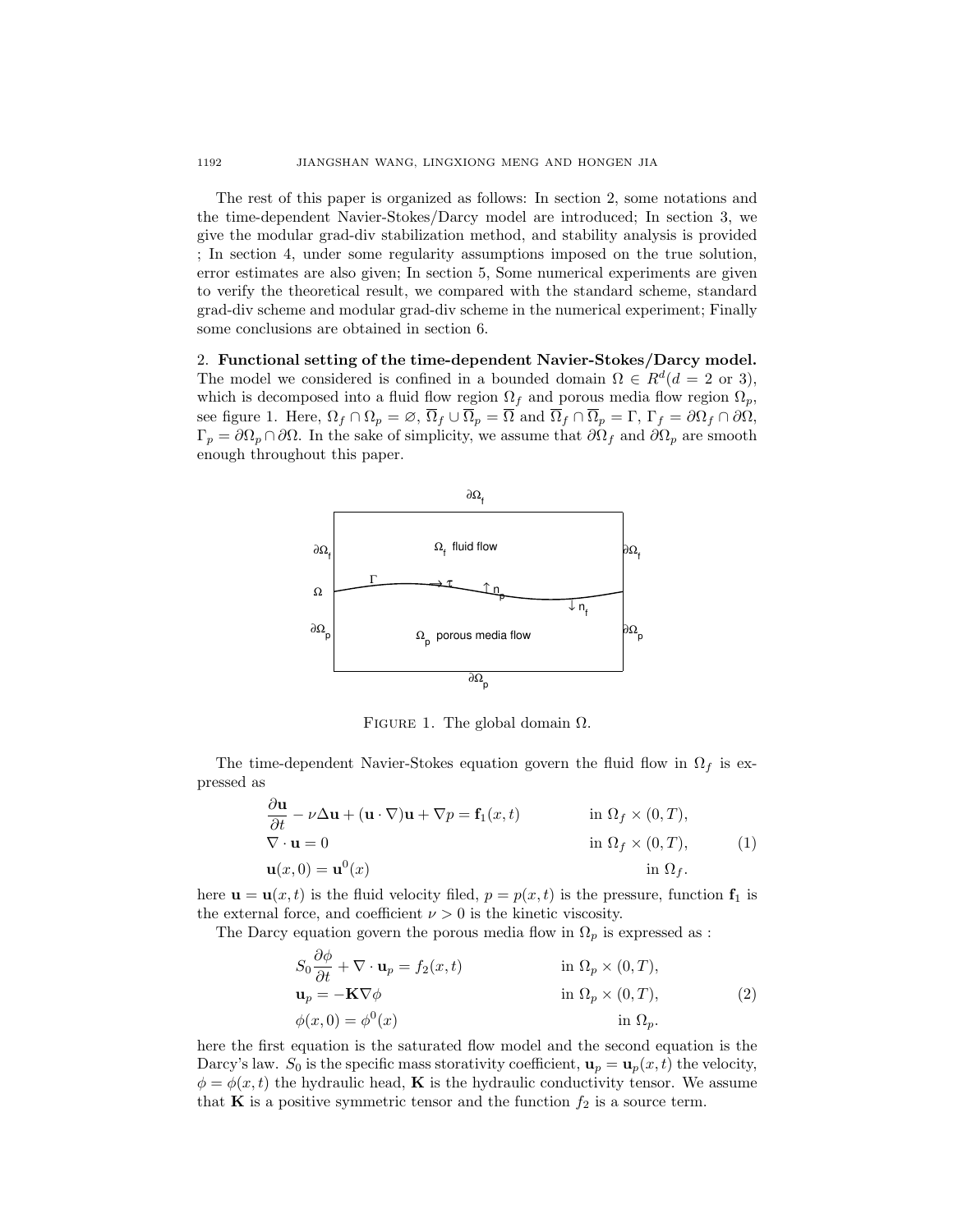The rest of this paper is organized as follows: In section 2, some notations and the time-dependent Navier-Stokes/Darcy model are introduced; In section 3, we give the modular grad-div stabilization method, and stability analysis is provided ; In section 4, under some regularity assumptions imposed on the true solution, error estimates are also given; In section 5, Some numerical experiments are given to verify the theoretical result, we compared with the standard scheme, standard grad-div scheme and modular grad-div scheme in the numerical experiment; Finally some conclusions are obtained in section 6.

2. Functional setting of the time-dependent Navier-Stokes/Darcy model. The model we considered is confined in a bounded domain  $\Omega \in R^d (d = 2 \text{ or } 3)$ , which is decomposed into a fluid flow region  $\Omega_f$  and porous media flow region  $\Omega_p$ , see figure 1. Here,  $\Omega_f \cap \Omega_p = \emptyset$ ,  $\overline{\Omega}_f \cup \overline{\Omega}_p = \overline{\Omega}$  and  $\overline{\Omega}_f \cap \overline{\Omega}_p = \Gamma$ ,  $\Gamma_f = \partial \Omega_f \cap \partial \Omega$ ,  $\Gamma_p = \partial \Omega_p \cap \partial \Omega$ . In the sake of simplicity, we assume that  $\partial \Omega_f$  and  $\partial \Omega_p$  are smooth enough throughout this paper.



FIGURE 1. The global domain  $\Omega$ .

The time-dependent Navier-Stokes equation govern the fluid flow in  $\Omega_f$  is expressed as

$$
\frac{\partial \mathbf{u}}{\partial t} - \nu \Delta \mathbf{u} + (\mathbf{u} \cdot \nabla) \mathbf{u} + \nabla p = \mathbf{f}_1(x, t) \quad \text{in } \Omega_f \times (0, T),
$$
  

$$
\nabla \cdot \mathbf{u} = 0 \quad \text{in } \Omega_f \times (0, T),
$$
  

$$
\mathbf{u}(x, 0) = \mathbf{u}^0(x) \quad \text{in } \Omega_f.
$$
 (1)

here  $\mathbf{u} = \mathbf{u}(x, t)$  is the fluid velocity filed,  $p = p(x, t)$  is the pressure, function  $\mathbf{f}_1$  is the external force, and coefficient  $\nu > 0$  is the kinetic viscosity.

The Darcy equation govern the porous media flow in  $\Omega_p$  is expressed as :

$$
S_0 \frac{\partial \phi}{\partial t} + \nabla \cdot \mathbf{u}_p = f_2(x, t) \qquad \text{in } \Omega_p \times (0, T),
$$
  
\n
$$
\mathbf{u}_p = -\mathbf{K} \nabla \phi \qquad \text{in } \Omega_p \times (0, T),
$$
  
\n
$$
\phi(x, 0) = \phi^0(x) \qquad \text{in } \Omega_p.
$$
  
\n(2)

here the first equation is the saturated flow model and the second equation is the Darcy's law.  $S_0$  is the specific mass storativity coefficient,  $\mathbf{u}_p = \mathbf{u}_p(x, t)$  the velocity,  $\phi = \phi(x, t)$  the hydraulic head, **K** is the hydraulic conductivity tensor. We assume that **K** is a positive symmetric tensor and the function  $f_2$  is a source term.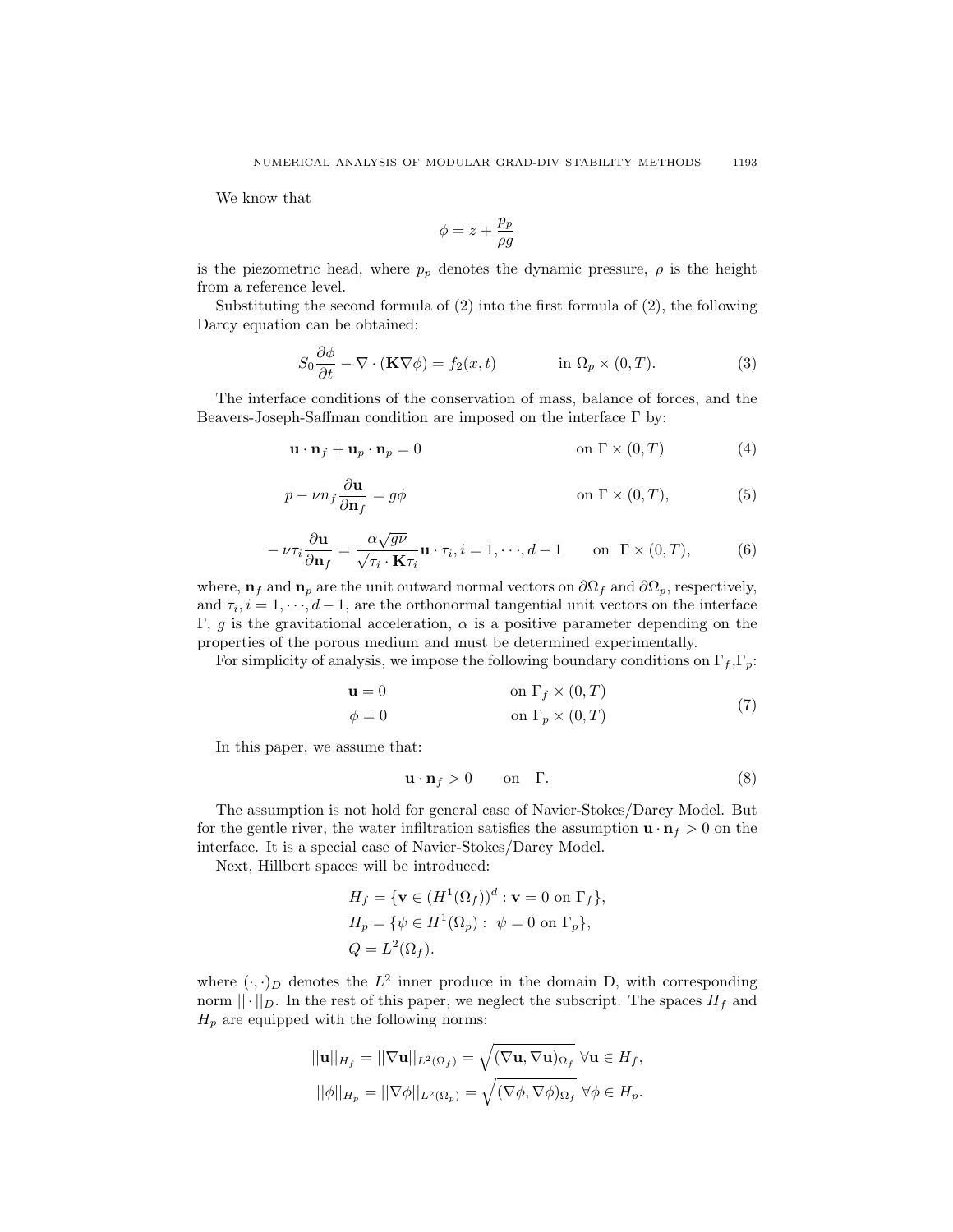We know that

$$
\phi=z+\frac{p_p}{\rho g}
$$

is the piezometric head, where  $p_p$  denotes the dynamic pressure,  $\rho$  is the height from a reference level.

Substituting the second formula of (2) into the first formula of (2), the following Darcy equation can be obtained:

$$
S_0 \frac{\partial \phi}{\partial t} - \nabla \cdot (\mathbf{K} \nabla \phi) = f_2(x, t) \qquad \text{in } \Omega_p \times (0, T). \tag{3}
$$

The interface conditions of the conservation of mass, balance of forces, and the Beavers-Joseph-Saffman condition are imposed on the interface Γ by:

$$
\mathbf{u} \cdot \mathbf{n}_f + \mathbf{u}_p \cdot \mathbf{n}_p = 0 \qquad \text{on } \Gamma \times (0, T) \tag{4}
$$

$$
p - \nu n_f \frac{\partial \mathbf{u}}{\partial \mathbf{n}_f} = g\phi \qquad \text{on } \Gamma \times (0, T), \tag{5}
$$

$$
-\nu\tau_i \frac{\partial \mathbf{u}}{\partial \mathbf{n}_f} = \frac{\alpha \sqrt{g\nu}}{\sqrt{\tau_i \cdot \mathbf{K}\tau_i}} \mathbf{u} \cdot \tau_i, i = 1, \cdots, d-1 \quad \text{on } \Gamma \times (0, T), \tag{6}
$$

where,  $n_f$  and  $n_p$  are the unit outward normal vectors on  $\partial\Omega_f$  and  $\partial\Omega_p$ , respectively, and  $\tau_i, i = 1, \dots, d-1$ , are the orthonormal tangential unit vectors on the interface Γ, g is the gravitational acceleration,  $\alpha$  is a positive parameter depending on the properties of the porous medium and must be determined experimentally.

For simplicity of analysis, we impose the following boundary conditions on  $\Gamma_f, \Gamma_p$ :

$$
\mathbf{u} = 0 \qquad \text{on } \Gamma_f \times (0, T) \n\phi = 0 \qquad \text{on } \Gamma_p \times (0, T)
$$
\n(7)

In this paper, we assume that:

$$
\mathbf{u} \cdot \mathbf{n}_f > 0 \qquad \text{on} \quad \Gamma. \tag{8}
$$

The assumption is not hold for general case of Navier-Stokes/Darcy Model. But for the gentle river, the water infiltration satisfies the assumption  $\mathbf{u} \cdot \mathbf{n}_f > 0$  on the interface. It is a special case of Navier-Stokes/Darcy Model.

Next, Hillbert spaces will be introduced:

$$
H_f = \{ \mathbf{v} \in (H^1(\Omega_f))^d : \mathbf{v} = 0 \text{ on } \Gamma_f \},
$$
  
\n
$$
H_p = \{ \psi \in H^1(\Omega_p) : \psi = 0 \text{ on } \Gamma_p \},
$$
  
\n
$$
Q = L^2(\Omega_f).
$$

where  $(\cdot, \cdot)_D$  denotes the  $L^2$  inner produce in the domain D, with corresponding norm  $|| \cdot ||_D$ . In the rest of this paper, we neglect the subscript. The spaces  $H_f$  and  $H_p$  are equipped with the following norms:

$$
||\mathbf{u}||_{H_f} = ||\nabla \mathbf{u}||_{L^2(\Omega_f)} = \sqrt{(\nabla \mathbf{u}, \nabla \mathbf{u})_{\Omega_f}} \,\forall \mathbf{u} \in H_f,
$$
  

$$
||\phi||_{H_p} = ||\nabla \phi||_{L^2(\Omega_p)} = \sqrt{(\nabla \phi, \nabla \phi)_{\Omega_f}} \,\forall \phi \in H_p.
$$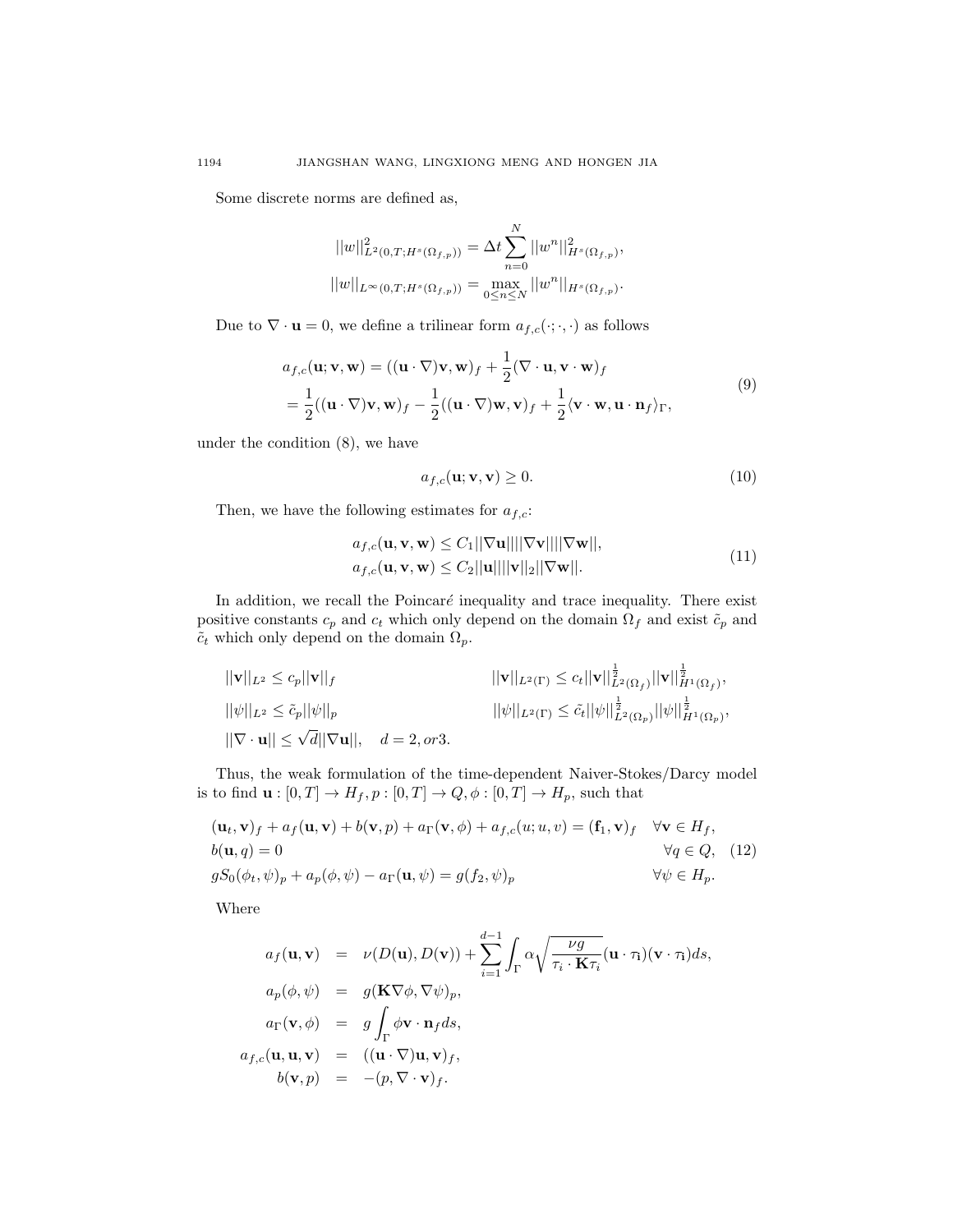Some discrete norms are defined as,

$$
||w||_{L^{2}(0,T;H^{s}(\Omega_{f,p}))}^{2} = \Delta t \sum_{n=0}^{N} ||w^{n}||_{H^{s}(\Omega_{f,p})}^{2},
$$
  

$$
||w||_{L^{\infty}(0,T;H^{s}(\Omega_{f,p}))} = \max_{0 \leq n \leq N} ||w^{n}||_{H^{s}(\Omega_{f,p})}.
$$

Due to  $\nabla \cdot \mathbf{u} = 0$ , we define a trilinear form  $a_{f,c}(\cdot;\cdot,\cdot)$  as follows

$$
a_{f,c}(\mathbf{u}; \mathbf{v}, \mathbf{w}) = ((\mathbf{u} \cdot \nabla)\mathbf{v}, \mathbf{w})_f + \frac{1}{2}(\nabla \cdot \mathbf{u}, \mathbf{v} \cdot \mathbf{w})_f
$$
  
=  $\frac{1}{2}((\mathbf{u} \cdot \nabla)\mathbf{v}, \mathbf{w})_f - \frac{1}{2}((\mathbf{u} \cdot \nabla)\mathbf{w}, \mathbf{v})_f + \frac{1}{2}\langle \mathbf{v} \cdot \mathbf{w}, \mathbf{u} \cdot \mathbf{n}_f \rangle_{\Gamma},$  (9)

under the condition (8), we have

$$
a_{f,c}(\mathbf{u}; \mathbf{v}, \mathbf{v}) \ge 0. \tag{10}
$$

Then, we have the following estimates for  $a_{f,c}$ :

$$
a_{f,c}(\mathbf{u}, \mathbf{v}, \mathbf{w}) \le C_1 ||\nabla \mathbf{u}|| ||\nabla \mathbf{v}|| ||\nabla \mathbf{w}||,
$$
  
\n
$$
a_{f,c}(\mathbf{u}, \mathbf{v}, \mathbf{w}) \le C_2 ||\mathbf{u}|| ||\nabla \mathbf{v}|| ||\nabla \mathbf{w}||.
$$
\n(11)

In addition, we recall the Poincaré inequality and trace inequality. There exist positive constants  $c_p$  and  $c_t$  which only depend on the domain  $\Omega_f$  and exist  $\tilde{c}_p$  and  $\tilde{c}_t$  which only depend on the domain  $\Omega_p$ .

$$
\begin{aligned}\n||\mathbf{v}||_{L^2} &\leq c_p ||\mathbf{v}||_f & ||\nabla||_{L^2(\Gamma)} \leq c_t ||\mathbf{v}||_{L^2(\Omega_f)}^{\frac{1}{2}} ||\mathbf{v}||_{H^1(\Omega_f)}^{\frac{1}{2}}, \\
||\psi||_{L^2} &\leq \tilde{c}_p ||\psi||_p & ||\psi||_{L^2(\Gamma)} \leq \tilde{c}_t ||\psi||_{L^2(\Omega_p)}^{\frac{1}{2}} ||\psi||_{H^1(\Omega_p)}^{\frac{1}{2}}, \\
||\nabla \cdot \mathbf{u}|| &\leq \sqrt{d} ||\nabla \mathbf{u}||, & d = 2, or 3.\n\end{aligned}
$$

Thus, the weak formulation of the time-dependent Naiver-Stokes/Darcy model is to find  $\mathbf{u}:[0,T]\rightarrow H_f, p:[0,T]\rightarrow Q, \phi:[0,T]\rightarrow H_p,$  such that

$$
(\mathbf{u}_t, \mathbf{v})_f + a_f(\mathbf{u}, \mathbf{v}) + b(\mathbf{v}, p) + a_\Gamma(\mathbf{v}, \phi) + a_{f,c}(u; u, v) = (\mathbf{f}_1, \mathbf{v})_f \quad \forall \mathbf{v} \in H_f,
$$
  
\n
$$
b(\mathbf{u}, q) = 0 \qquad \forall q \in Q, \quad (12)
$$
  
\n
$$
gS_0(\phi_t, \psi)_p + a_p(\phi, \psi) - a_\Gamma(\mathbf{u}, \psi) = g(f_2, \psi)_p \qquad \forall \psi \in H_p.
$$

Where

$$
a_f(\mathbf{u}, \mathbf{v}) = \nu(D(\mathbf{u}), D(\mathbf{v})) + \sum_{i=1}^{d-1} \int_{\Gamma} \alpha \sqrt{\frac{\nu g}{\tau_i \cdot \mathbf{K} \tau_i}} (\mathbf{u} \cdot \tau_i)(\mathbf{v} \cdot \tau_i) ds,
$$
  
\n
$$
a_p(\phi, \psi) = g(\mathbf{K} \nabla \phi, \nabla \psi)_p,
$$
  
\n
$$
a_{\Gamma}(\mathbf{v}, \phi) = g \int_{\Gamma} \phi \mathbf{v} \cdot \mathbf{n}_f ds,
$$
  
\n
$$
a_{f,c}(\mathbf{u}, \mathbf{u}, \mathbf{v}) = ((\mathbf{u} \cdot \nabla)\mathbf{u}, \mathbf{v})_f,
$$
  
\n
$$
b(\mathbf{v}, p) = -(p, \nabla \cdot \mathbf{v})_f.
$$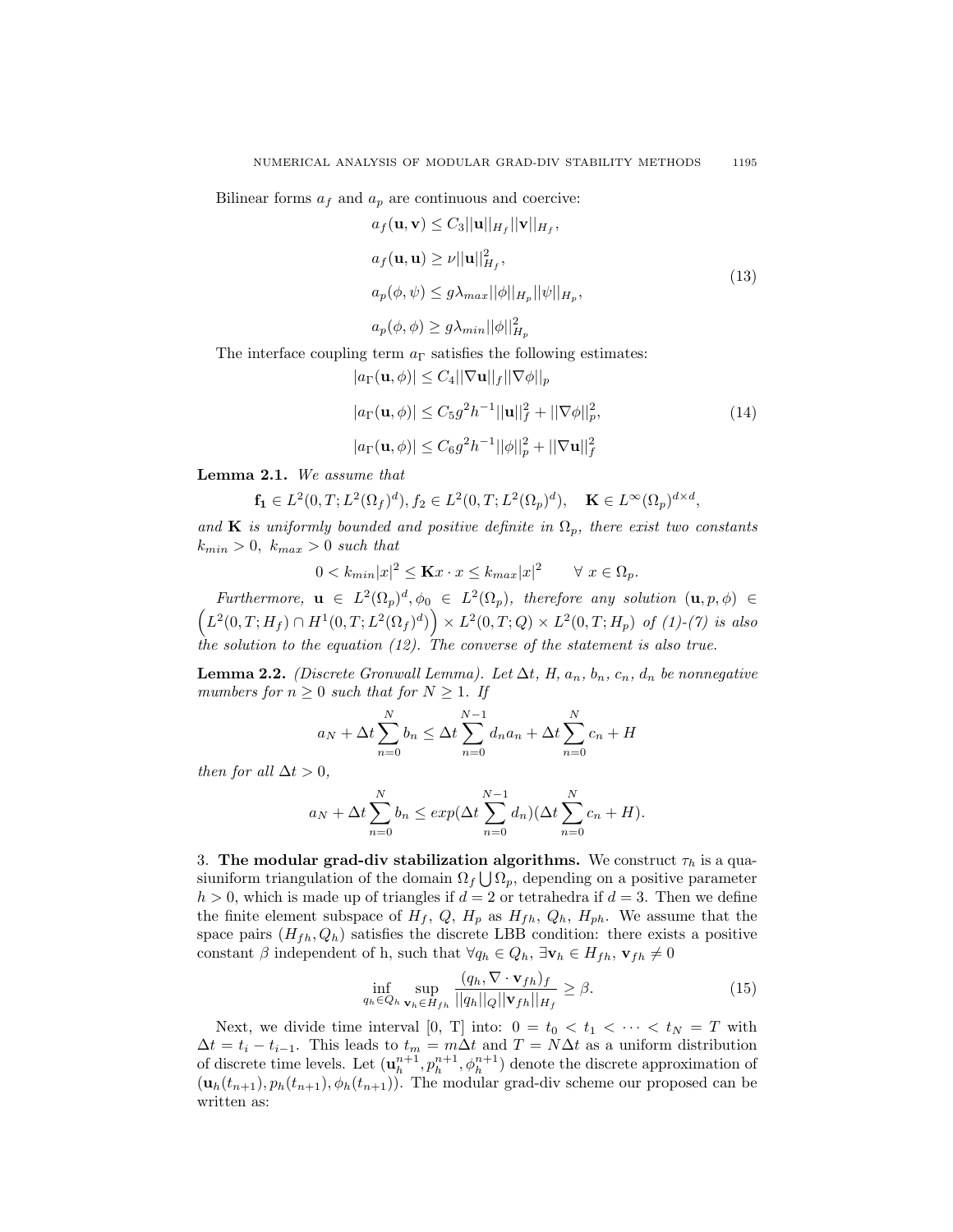Bilinear forms  $a_f$  and  $a_p$  are continuous and coercive:

$$
a_f(\mathbf{u}, \mathbf{v}) \le C_3 ||\mathbf{u}||_{H_f} ||\mathbf{v}||_{H_f},
$$
  
\n
$$
a_f(\mathbf{u}, \mathbf{u}) \ge \nu ||\mathbf{u}||_{H_f}^2,
$$
  
\n
$$
a_p(\phi, \psi) \le g\lambda_{max} ||\phi||_{H_p} ||\psi||_{H_p},
$$
\n(13)

$$
a_p(\phi, \phi) \ge g \lambda_{min} ||\phi||^2_{H_p}
$$

The interface coupling term  $a_{\Gamma}$  satisfies the following estimates:

$$
|a_{\Gamma}(\mathbf{u},\phi)| \leq C_4 ||\nabla \mathbf{u}||_f ||\nabla \phi||_p
$$
  
\n
$$
|a_{\Gamma}(\mathbf{u},\phi)| \leq C_5 g^2 h^{-1} ||\mathbf{u}||_f^2 + ||\nabla \phi||_p^2,
$$
  
\n
$$
|a_{\Gamma}(\mathbf{u},\phi)| \leq C_6 g^2 h^{-1} ||\phi||_p^2 + ||\nabla \mathbf{u}||_f^2
$$
\n(14)

Lemma 2.1. We assume that

$$
\mathbf{f_1} \in L^2(0, T; L^2(\Omega_f)^d), f_2 \in L^2(0, T; L^2(\Omega_p)^d), \quad \mathbf{K} \in L^\infty(\Omega_p)^{d \times d},
$$

and K is uniformly bounded and positive definite in  $\Omega_p$ , there exist two constants  $k_{min} > 0$ ,  $k_{max} > 0$  such that

$$
0 < k_{min} |x|^2 \le \mathbf{K} x \cdot x \le k_{max} |x|^2 \qquad \forall \ x \in \Omega_p.
$$

Furthermore,  $\mathbf{u} \in L^2(\Omega_p)^d$ ,  $\phi_0 \in L^2(\Omega_p)$ , therefore any solution  $(\mathbf{u}, p, \phi) \in$  $(L^2(0,T;H_f) \cap H^1(0,T;L^2(\Omega_f)^d) \big) \times L^2(0,T;Q) \times L^2(0,T;H_p)$  of (1)-(7) is also the solution to the equation  $(12)$ . The converse of the statement is also true.

**Lemma 2.2.** (Discrete Gronwall Lemma). Let  $\Delta t$ , H,  $a_n$ ,  $b_n$ ,  $c_n$ ,  $d_n$  be nonnegative mumbers for  $n \geq 0$  such that for  $N \geq 1$ . If

$$
a_N + \Delta t \sum_{n=0}^{N} b_n \le \Delta t \sum_{n=0}^{N-1} d_n a_n + \Delta t \sum_{n=0}^{N} c_n + H
$$

then for all  $\Delta t > 0$ ,

$$
a_N + \Delta t \sum_{n=0}^{N} b_n \le exp(\Delta t \sum_{n=0}^{N-1} d_n)(\Delta t \sum_{n=0}^{N} c_n + H).
$$

3. The modular grad-div stabilization algorithms. We construct  $\tau_h$  is a quasiuniform triangulation of the domain  $\Omega_f \bigcup \Omega_p$ , depending on a positive parameter  $h > 0$ , which is made up of triangles if  $d = 2$  or tetrahedra if  $d = 3$ . Then we define the finite element subspace of  $H_f$ ,  $Q$ ,  $H_p$  as  $H_{fh}$ ,  $Q_h$ ,  $H_{ph}$ . We assume that the space pairs  $(H_{fh}, Q_h)$  satisfies the discrete LBB condition: there exists a positive constant  $\beta$  independent of h, such that  $\forall q_h \in Q_h$ ,  $\exists \mathbf{v}_h \in H_{fh}$ ,  $\mathbf{v}_{fh} \neq 0$ 

$$
\inf_{q_h \in Q_h} \sup_{\mathbf{v}_h \in H_{fh}} \frac{(q_h, \nabla \cdot \mathbf{v}_{fh})_f}{||q_h||_Q||\mathbf{v}_{fh}||_{H_f}} \ge \beta.
$$
\n(15)

Next, we divide time interval [0, T] into:  $0 = t_0 < t_1 < \cdots < t_N = T$  with  $\Delta t = t_i - t_{i-1}$ . This leads to  $t_m = m\Delta t$  and  $T = N\Delta t$  as a uniform distribution of discrete time levels. Let  $(\mathbf{u}_h^{n+1}, p_h^{n+1}, \phi_h^{n+1})$  denote the discrete approximation of  $(\mathbf{u}_h(t_{n+1}), p_h(t_{n+1}), \phi_h(t_{n+1}))$ . The modular grad-div scheme our proposed can be written as: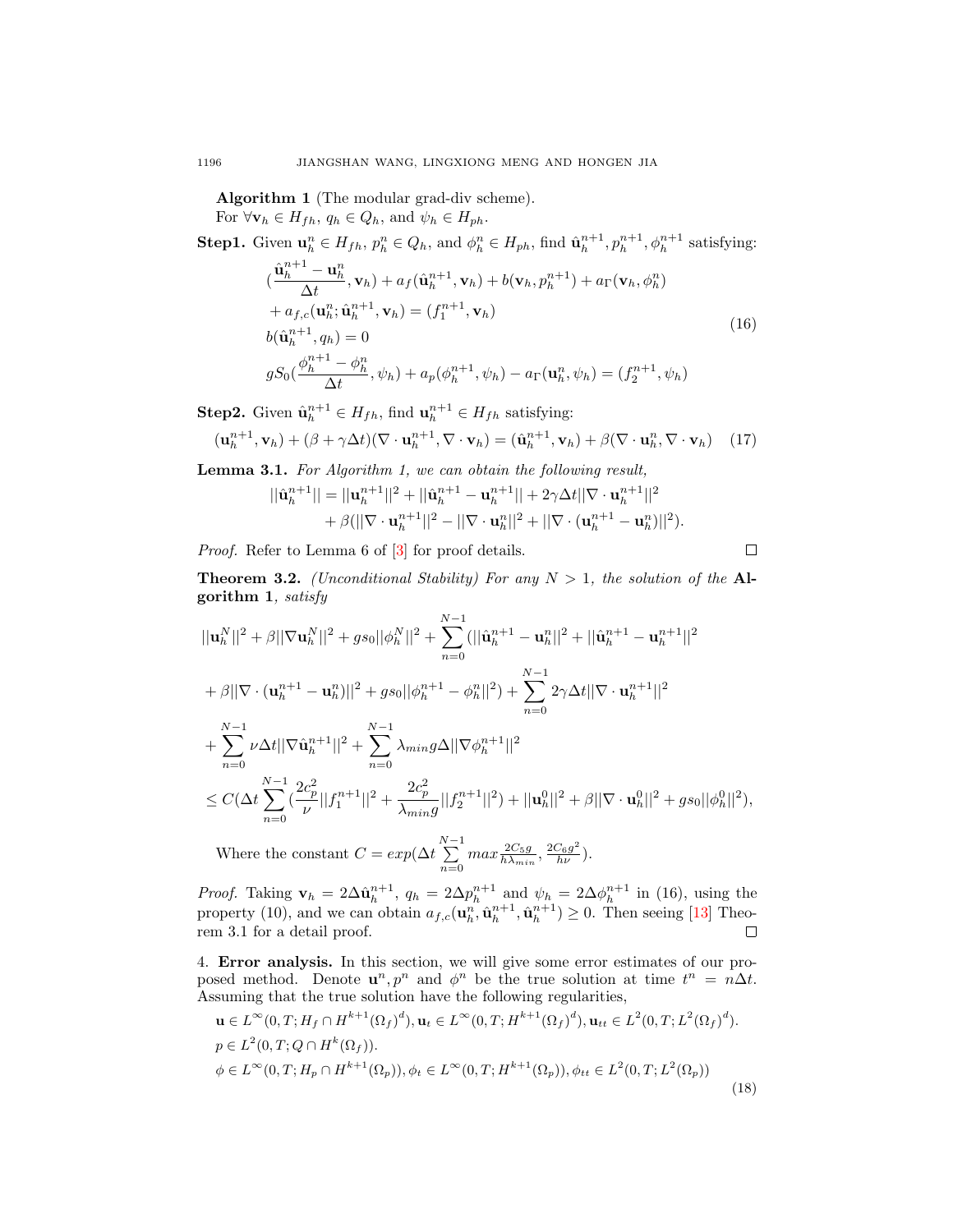Algorithm 1 (The modular grad-div scheme).

For  $\forall \mathbf{v}_h \in H_{fh}, q_h \in Q_h$ , and  $\psi_h \in H_{ph}$ .

**Step1.** Given  $\mathbf{u}_h^n \in H_{fh}, p_h^n \in Q_h$ , and  $\phi_h^n \in H_{ph}$ , find  $\hat{\mathbf{u}}_h^{n+1}, p_h^{n+1}, \phi_h^{n+1}$  satisfying:

$$
\begin{aligned}\n(\frac{\hat{\mathbf{u}}_h^{n+1} - \mathbf{u}_h^n}{\Delta t}, \mathbf{v}_h) + a_f(\hat{\mathbf{u}}_h^{n+1}, \mathbf{v}_h) + b(\mathbf{v}_h, p_h^{n+1}) + a_\Gamma(\mathbf{v}_h, \phi_h^n) \\
+ a_{f,c}(\mathbf{u}_h^n; \hat{\mathbf{u}}_h^{n+1}, \mathbf{v}_h) = (f_1^{n+1}, \mathbf{v}_h) \\
b(\hat{\mathbf{u}}_h^{n+1}, q_h) &= 0 \\
gS_0(\frac{\phi_h^{n+1} - \phi_h^n}{\Delta t}, \psi_h) + a_p(\phi_h^{n+1}, \psi_h) - a_\Gamma(\mathbf{u}_h^n, \psi_h) = (f_2^{n+1}, \psi_h)\n\end{aligned}\n\tag{16}
$$

**Step2.** Given  $\hat{\mathbf{u}}_h^{n+1} \in H_{fh}$ , find  $\mathbf{u}_h^{n+1} \in H_{fh}$  satisfying:

$$
(\mathbf{u}_h^{n+1}, \mathbf{v}_h) + (\beta + \gamma \Delta t)(\nabla \cdot \mathbf{u}_h^{n+1}, \nabla \cdot \mathbf{v}_h) = (\hat{\mathbf{u}}_h^{n+1}, \mathbf{v}_h) + \beta(\nabla \cdot \mathbf{u}_h^n, \nabla \cdot \mathbf{v}_h)
$$
(17)

Lemma 3.1. For Algorithm 1, we can obtain the following result,

$$
||\hat{\mathbf{u}}_h^{n+1}|| = ||\mathbf{u}_h^{n+1}||^2 + ||\hat{\mathbf{u}}_h^{n+1} - \mathbf{u}_h^{n+1}|| + 2\gamma\Delta t ||\nabla \cdot \mathbf{u}_h^{n+1}||^2
$$
  
+  $\beta (||\nabla \cdot \mathbf{u}_h^{n+1}||^2 - ||\nabla \cdot \mathbf{u}_h^{n}||^2 + ||\nabla \cdot (\mathbf{u}_h^{n+1} - \mathbf{u}_h^{n})||^2).$ 

Proof. Refer to Lemma 6 of  $[3]$  for proof details.

 $\Box$ 

**Theorem 3.2.** (Unconditional Stability) For any  $N > 1$ , the solution of the Algorithm 1, satisfy

$$
||\mathbf{u}_{h}^{N}||^{2} + \beta ||\nabla \mathbf{u}_{h}^{N}||^{2} + gs_{0}||\phi_{h}^{N}||^{2} + \sum_{n=0}^{N-1} (||\hat{\mathbf{u}}_{h}^{n+1} - \mathbf{u}_{h}^{n}||^{2} + ||\hat{\mathbf{u}}_{h}^{n+1} - \mathbf{u}_{h}^{n+1}||^{2}
$$
  
+  $\beta ||\nabla \cdot (\mathbf{u}_{h}^{n+1} - \mathbf{u}_{h}^{n})||^{2} + gs_{0}||\phi_{h}^{n+1} - \phi_{h}^{n}||^{2}) + \sum_{n=0}^{N-1} 2\gamma \Delta t ||\nabla \cdot \mathbf{u}_{h}^{n+1}||^{2}$   
+  $\sum_{n=0}^{N-1} \nu \Delta t ||\nabla \hat{\mathbf{u}}_{h}^{n+1}||^{2} + \sum_{n=0}^{N-1} \lambda_{min} g \Delta ||\nabla \phi_{h}^{n+1}||^{2}$   

$$
\leq C(\Delta t \sum_{n=0}^{N-1} (\frac{2c_{p}^{2}}{\nu} ||f_{1}^{n+1}||^{2} + \frac{2c_{p}^{2}}{\lambda_{min} g} ||f_{2}^{n+1}||^{2}) + ||\mathbf{u}_{h}^{0}||^{2} + \beta ||\nabla \cdot \mathbf{u}_{h}^{0}||^{2} + gs_{0}||\phi_{h}^{0}||^{2}),
$$
  
Where the constant  $C = \exp(\Delta t \sum_{n=0}^{N-1} \max_{i} \frac{2C_{5}g}{2C_{6}g^{2}})$ 

Where the constant  $C = exp(\Delta t \sum_{n=1}^{N-1}$  $\sum_{n=0}^{N-1} max \frac{2C_{5}g}{h\lambda_{min}}, \frac{2C_{6}g^{2}}{h\nu}).$ 

*Proof.* Taking  $\mathbf{v}_h = 2\Delta \hat{\mathbf{u}}_h^{n+1}$ ,  $q_h = 2\Delta p_h^{n+1}$  and  $\psi_h = 2\Delta \phi_h^{n+1}$  in (16), using the property (10), and we can obtain  $a_{f,c}(\mathbf{u}_h^n, \hat{\mathbf{u}}_h^{n+1}, \hat{\mathbf{u}}_h^{n+1}) \geq 0$ . Then seeing [\[13\]](#page-14-4) Theorem 3.1 for a detail proof.  $\Box$ 

4. Error analysis. In this section, we will give some error estimates of our proposed method. Denote  $\mathbf{u}^n, p^n$  and  $\phi^n$  be the true solution at time  $t^n = n\Delta t$ . Assuming that the true solution have the following regularities,

$$
\mathbf{u} \in L^{\infty}(0, T; H_f \cap H^{k+1}(\Omega_f)^d), \mathbf{u}_t \in L^{\infty}(0, T; H^{k+1}(\Omega_f)^d), \mathbf{u}_{tt} \in L^2(0, T; L^2(\Omega_f)^d).
$$
  
\n
$$
p \in L^2(0, T; Q \cap H^k(\Omega_f)).
$$
  
\n
$$
\phi \in L^{\infty}(0, T; H_p \cap H^{k+1}(\Omega_p)), \phi_t \in L^{\infty}(0, T; H^{k+1}(\Omega_p)), \phi_{tt} \in L^2(0, T; L^2(\Omega_p))
$$
  
\n(18)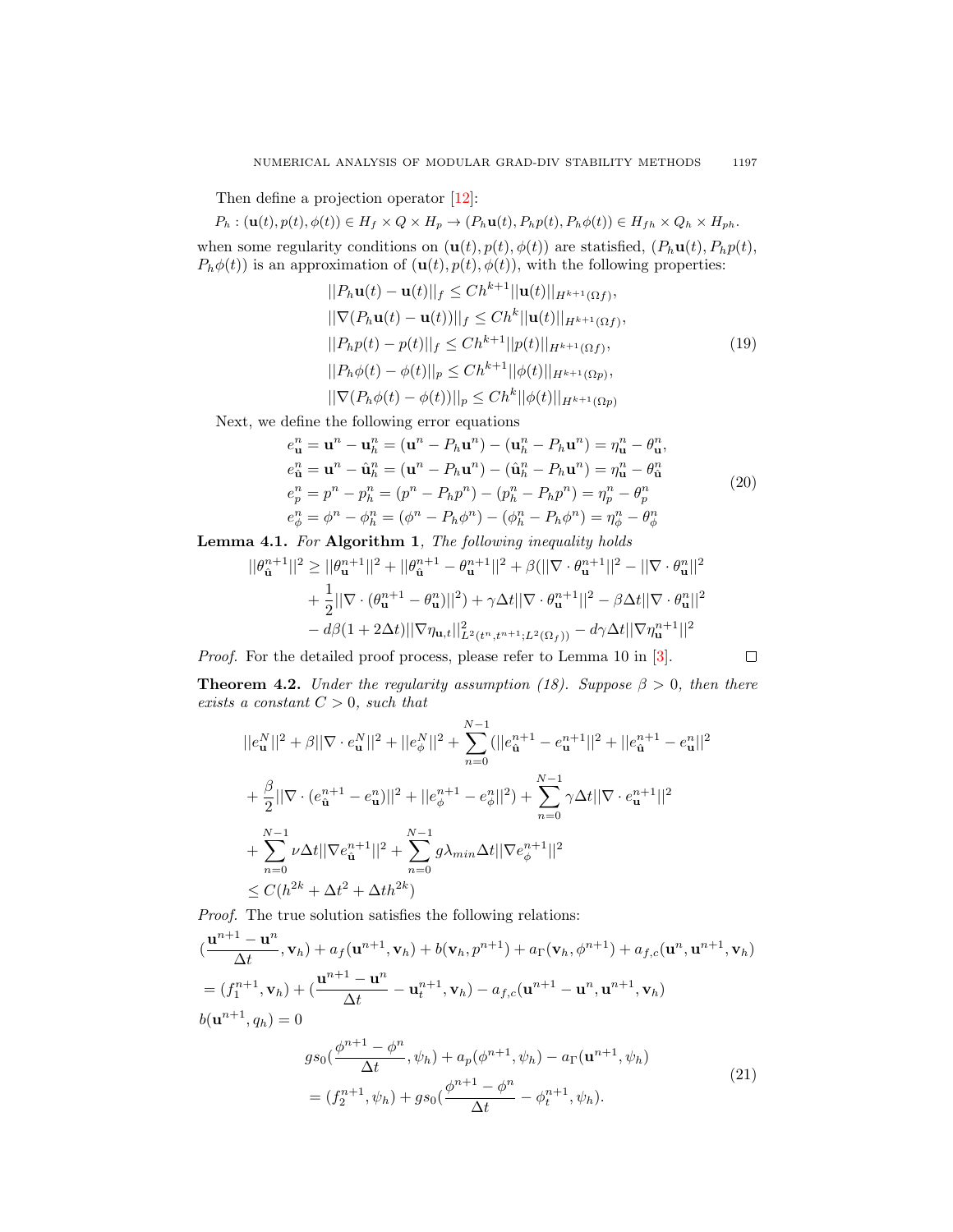Then define a projection operator [\[12\]](#page-14-0):

$$
P_h: (\mathbf{u}(t), p(t), \phi(t)) \in H_f \times Q \times H_p \to (P_h \mathbf{u}(t), P_h p(t), P_h \phi(t)) \in H_{fh} \times Q_h \times H_{ph}.
$$

when some regularity conditions on  $(\mathbf{u}(t), p(t), \phi(t))$  are statisfied,  $(P_h \mathbf{u}(t), P_h p(t))$ ,  $P_h\phi(t)$  is an approximation of  $(\mathbf{u}(t), p(t), \phi(t))$ , with the following properties:

$$
||P_h \mathbf{u}(t) - \mathbf{u}(t)||_f \le Ch^{k+1} ||\mathbf{u}(t)||_{H^{k+1}(\Omega f)},
$$
  
\n
$$
||\nabla (P_h \mathbf{u}(t) - \mathbf{u}(t))||_f \le Ch^k ||\mathbf{u}(t)||_{H^{k+1}(\Omega f)},
$$
  
\n
$$
||P_h p(t) - p(t)||_f \le Ch^{k+1} ||p(t)||_{H^{k+1}(\Omega f)},
$$
  
\n
$$
||P_h \phi(t) - \phi(t)||_p \le Ch^{k+1} ||\phi(t)||_{H^{k+1}(\Omega p)},
$$
  
\n
$$
||\nabla (P_h \phi(t) - \phi(t))||_p \le Ch^k ||\phi(t)||_{H^{k+1}(\Omega p)}
$$
 (19)

Next, we define the following error equations

$$
e_{\mathbf{u}}^{n} = \mathbf{u}^{n} - \mathbf{u}_{h}^{n} = (\mathbf{u}^{n} - P_{h}\mathbf{u}^{n}) - (\mathbf{u}_{h}^{n} - P_{h}\mathbf{u}^{n}) = \eta_{\mathbf{u}}^{n} - \theta_{\mathbf{u}}^{n},
$$
  
\n
$$
e_{\mathbf{u}}^{n} = \mathbf{u}^{n} - \hat{\mathbf{u}}_{h}^{n} = (\mathbf{u}^{n} - P_{h}\mathbf{u}^{n}) - (\hat{\mathbf{u}}_{h}^{n} - P_{h}\mathbf{u}^{n}) = \eta_{\mathbf{u}}^{n} - \theta_{\mathbf{u}}^{n},
$$
  
\n
$$
e_{p}^{n} = p^{n} - p_{h}^{n} = (p^{n} - P_{h}p^{n}) - (p_{h}^{n} - P_{h}p^{n}) = \eta_{p}^{n} - \theta_{p}^{n},
$$
  
\n
$$
e_{\phi}^{n} = \phi^{n} - \phi_{h}^{n} = (\phi^{n} - P_{h}\phi^{n}) - (\phi_{h}^{n} - P_{h}\phi^{n}) = \eta_{\phi}^{n} - \theta_{\phi}^{n}
$$
  
\n(20)

Lemma 4.1. For Algorithm 1, The following inequality holds

$$
||\theta_{\hat{\mathbf{u}}}^{n+1}||^{2} \geq ||\theta_{\mathbf{u}}^{n+1}||^{2} + ||\theta_{\hat{\mathbf{u}}}^{n+1} - \theta_{\mathbf{u}}^{n+1}||^{2} + \beta(||\nabla \cdot \theta_{\mathbf{u}}^{n+1}||^{2} - ||\nabla \cdot \theta_{\mathbf{u}}^{n}||^{2} + \frac{1}{2}||\nabla \cdot (\theta_{\mathbf{u}}^{n+1} - \theta_{\mathbf{u}}^{n})||^{2}) + \gamma \Delta t ||\nabla \cdot \theta_{\mathbf{u}}^{n+1}||^{2} - \beta \Delta t ||\nabla \cdot \theta_{\mathbf{u}}^{n}||^{2} - d\beta (1 + 2\Delta t) ||\nabla \eta_{\mathbf{u},t}||^{2}_{L^{2}(t^{n},t^{n+1};L^{2}(\Omega_{f}))} - d\gamma \Delta t ||\nabla \eta_{\mathbf{u}}^{n+1}||^{2}
$$

Proof. For the detailed proof process, please refer to Lemma 10 in [\[3\]](#page-13-9).

$$
\Box_{\mathbb{C}}
$$

**Theorem 4.2.** Under the regularity assumption (18). Suppose  $\beta > 0$ , then there exists a constant  $C > 0$ , such that

$$
||e_{\mathbf{u}}^N||^2 + \beta ||\nabla \cdot e_{\mathbf{u}}^N||^2 + ||e_{\phi}^N||^2 + \sum_{n=0}^{N-1} (||e_{\mathbf{\hat{u}}}^{n+1} - e_{\mathbf{u}}^{n+1}||^2 + ||e_{\mathbf{\hat{u}}}^{n+1} - e_{\mathbf{u}}^n||^2
$$
  
+ 
$$
\frac{\beta}{2} ||\nabla \cdot (e_{\mathbf{\hat{u}}}^{n+1} - e_{\mathbf{u}}^n)||^2 + ||e_{\phi}^{n+1} - e_{\phi}^n||^2) + \sum_{n=0}^{N-1} \gamma \Delta t ||\nabla \cdot e_{\mathbf{u}}^{n+1}||^2
$$
  
+ 
$$
\sum_{n=0}^{N-1} \nu \Delta t ||\nabla e_{\mathbf{\hat{u}}}^{n+1}||^2 + \sum_{n=0}^{N-1} g \lambda_{min} \Delta t ||\nabla e_{\phi}^{n+1}||^2
$$
  

$$
\leq C (h^{2k} + \Delta t^2 + \Delta th^{2k})
$$

Proof. The true solution satisfies the following relations:

$$
(\frac{\mathbf{u}^{n+1} - \mathbf{u}^n}{\Delta t}, \mathbf{v}_h) + a_f(\mathbf{u}^{n+1}, \mathbf{v}_h) + b(\mathbf{v}_h, p^{n+1}) + a_\Gamma(\mathbf{v}_h, \phi^{n+1}) + a_{f,c}(\mathbf{u}^n, \mathbf{u}^{n+1}, \mathbf{v}_h)
$$
  
\n
$$
= (f_1^{n+1}, \mathbf{v}_h) + (\frac{\mathbf{u}^{n+1} - \mathbf{u}^n}{\Delta t} - \mathbf{u}_t^{n+1}, \mathbf{v}_h) - a_{f,c}(\mathbf{u}^{n+1} - \mathbf{u}^n, \mathbf{u}^{n+1}, \mathbf{v}_h)
$$
  
\n
$$
b(\mathbf{u}^{n+1}, q_h) = 0
$$
  
\n
$$
gs_0(\frac{\phi^{n+1} - \phi^n}{\Delta t}, \psi_h) + a_p(\phi^{n+1}, \psi_h) - a_\Gamma(\mathbf{u}^{n+1}, \psi_h)
$$
  
\n
$$
= (f_2^{n+1}, \psi_h) + gs_0(\frac{\phi^{n+1} - \phi^n}{\Delta t} - \phi_t^{n+1}, \psi_h).
$$
  
\n(21)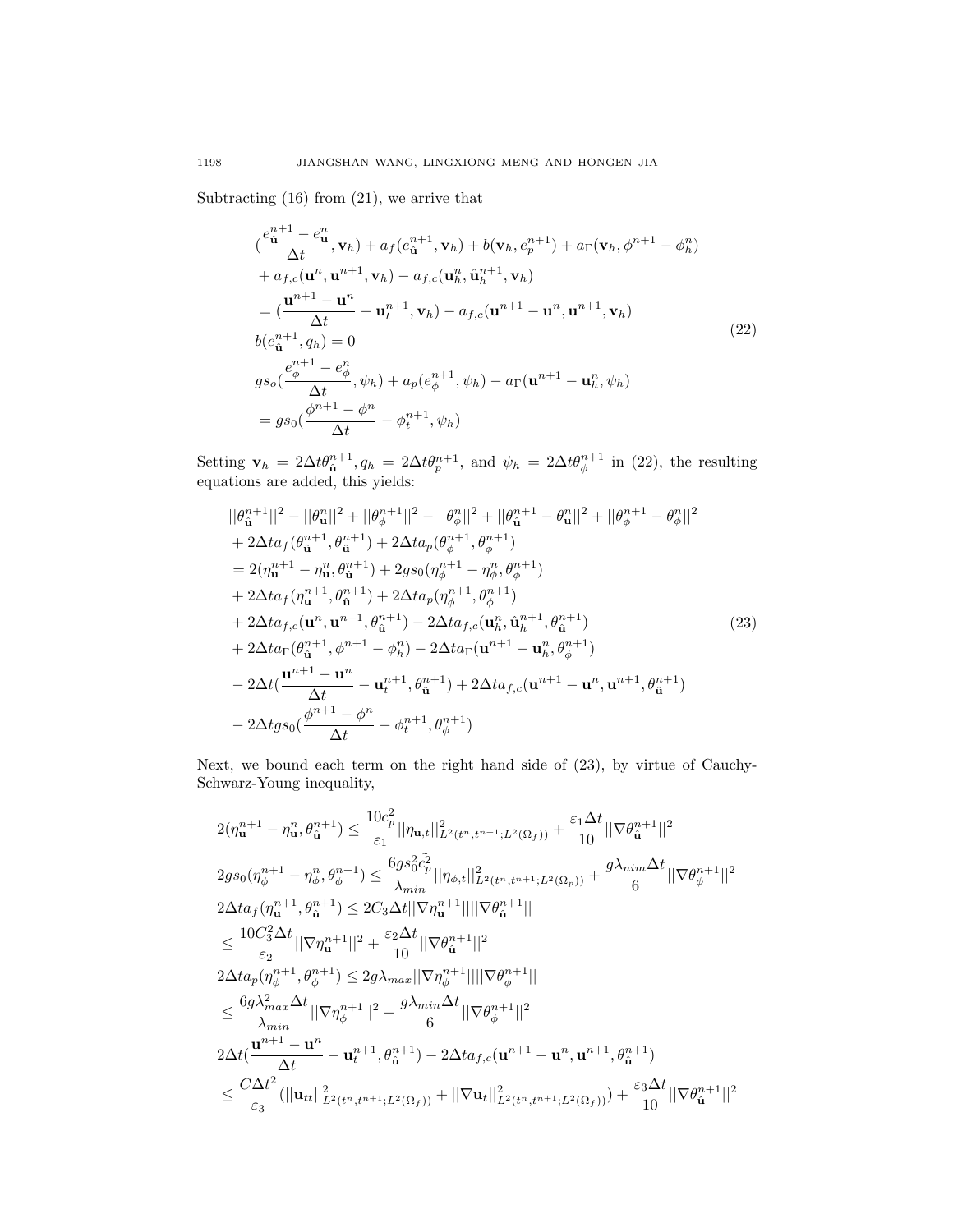Subtracting (16) from (21), we arrive that

$$
\begin{split}\n&\left(\frac{e_{\hat{\mathbf{u}}}^{n+1} - e_{\mathbf{u}}^{n}}{\Delta t}, \mathbf{v}_{h}\right) + a_{f}(e_{\hat{\mathbf{u}}}^{n+1}, \mathbf{v}_{h}) + b(\mathbf{v}_{h}, e_{p}^{n+1}) + a_{\Gamma}(\mathbf{v}_{h}, \phi^{n+1} - \phi_{h}^{n}) \\
&+ a_{f,c}(\mathbf{u}^{n}, \mathbf{u}^{n+1}, \mathbf{v}_{h}) - a_{f,c}(\mathbf{u}_{h}^{n}, \hat{\mathbf{u}}_{h}^{n+1}, \mathbf{v}_{h}) \\
&= \left(\frac{\mathbf{u}^{n+1} - \mathbf{u}^{n}}{\Delta t} - \mathbf{u}_{t}^{n+1}, \mathbf{v}_{h}\right) - a_{f,c}(\mathbf{u}^{n+1} - \mathbf{u}^{n}, \mathbf{u}^{n+1}, \mathbf{v}_{h}) \\
&\left. b(e_{\hat{\mathbf{u}}}^{n+1}, q_{h}) = 0 \\
&\left. g_{s_{0}}\left(\frac{e_{\phi}^{n+1} - e_{\phi}^{n}}{\Delta t}, \psi_{h}\right) + a_{p}(e_{\phi}^{n+1}, \psi_{h}) - a_{\Gamma}(\mathbf{u}^{n+1} - \mathbf{u}_{h}^{n}, \psi_{h})\right) \\
&= g_{s_{0}}\left(\frac{\phi^{n+1} - \phi^{n}}{\Delta t} - \phi_{t}^{n+1}, \psi_{h}\right)\n\end{split}
$$
\n
$$
(22)
$$

Setting  $\mathbf{v}_h = 2\Delta t \theta_{\hat{\mathbf{u}}}^{n+1}, q_h = 2\Delta t \theta_{p}^{n+1}, \text{ and } \psi_h = 2\Delta t \theta_{\phi}^{n+1}$  in (22), the resulting equations are added, this yields:

$$
||\theta_{\mathbf{u}}^{n+1}||^{2} - ||\theta_{\mathbf{u}}^{n}||^{2} + ||\theta_{\phi}^{n+1}||^{2} - ||\theta_{\phi}^{n}||^{2} + ||\theta_{\mathbf{u}}^{n+1} - \theta_{\mathbf{u}}^{n}||^{2} + ||\theta_{\phi}^{n+1} - \theta_{\phi}^{n}||^{2}
$$
  
+2 $\Delta t a_{f}(\theta_{\mathbf{u}}^{n+1}, \theta_{\mathbf{u}}^{n+1}) + 2\Delta t a_{p}(\theta_{\phi}^{n+1}, \theta_{\phi}^{n+1})$   
= 2( $\eta_{\mathbf{u}}^{n+1} - \eta_{\mathbf{u}}^{n}, \theta_{\mathbf{u}}^{n+1}) + 2gs_{0}(\eta_{\phi}^{n+1} - \eta_{\phi}^{n}, \theta_{\phi}^{n+1})$   
+ 2 $\Delta t a_{f}(\eta_{\mathbf{u}}^{n+1}, \theta_{\mathbf{u}}^{n+1}) + 2\Delta t a_{p}(\eta_{\phi}^{n+1}, \theta_{\phi}^{n+1})$   
+ 2 $\Delta t a_{f,c}(\mathbf{u}^{n}, \mathbf{u}^{n+1}, \theta_{\mathbf{u}}^{n+1}) - 2\Delta t a_{f,c}(\mathbf{u}_{h}^{n}, \hat{\mathbf{u}}_{h}^{n+1}, \theta_{\mathbf{u}}^{n+1})$   
+ 2 $\Delta t a_{\Gamma}(\theta_{\mathbf{u}}^{n+1}, \phi_{\mathbf{u}}^{n+1}) - 2\Delta t a_{\Gamma}(\mathbf{u}^{n+1} - \mathbf{u}_{h}^{n}, \theta_{\phi}^{n+1})$   
- 2 $\Delta t(\frac{\mathbf{u}^{n+1} - \mathbf{u}^{n}}{\Delta t} - \mathbf{u}_{t}^{n+1}, \theta_{\mathbf{u}}^{n+1}) + 2\Delta t a_{f,c}(\mathbf{u}^{n+1} - \mathbf{u}^{n}, \mathbf{u}^{n+1}, \theta_{\mathbf{u}}^{n+1})$   
- 2 $\Delta t g_{s0}(\frac{\phi^{n+1} - \phi^{n}}{\Delta t} - \phi_{t}^{n+1}, \theta_{\phi}^{n+1})$ 

Next, we bound each term on the right hand side of (23), by virtue of Cauchy-Schwarz-Young inequality,

$$
\begin{split} &2(\eta_{\mathbf{u}}^{n+1}-\eta_{\mathbf{u}}^{n},\theta_{\hat{\mathbf{u}}}^{n+1})\leq\frac{10c_{p}^{2}}{\varepsilon_{1}}||\eta_{\mathbf{u},t}||_{L^{2}(t^{n},t^{n+1};L^{2}(\Omega_{f}))}^{2}+\frac{\varepsilon_{1}\Delta t}{10}||\nabla\theta_{\hat{\mathbf{u}}}^{n+1}||^{2} \\ &2g s_{0}(\eta_{\phi}^{n+1}-\eta_{\phi}^{n},\theta_{\phi}^{n+1})\leq\frac{6g s_{0}^{2}\tilde{c}_{p}^{2}}{\lambda_{min}}||\eta_{\phi,t}||_{L^{2}(t^{n},t^{n+1};L^{2}(\Omega_{p}))}+\frac{g\lambda_{nim}\Delta t}{6}||\nabla\theta_{\phi}^{n+1}||^{2} \\ &2\Delta t a_{f}(\eta_{\mathbf{u}}^{n+1},\theta_{\hat{\mathbf{u}}}^{n+1})\leq2C_{3}\Delta t||\nabla\eta_{\mathbf{u}}^{n+1}||||\nabla\theta_{\hat{\mathbf{u}}}^{n+1}|| \\ &\leq\frac{10C_{3}^{2}\Delta t}{\varepsilon_{2}}||\nabla\eta_{\phi}^{n+1}||^{2}+\frac{\varepsilon_{2}\Delta t}{10}||\nabla\theta_{\hat{\mathbf{u}}}^{n+1}||^{2} \\ &2\Delta t a_{p}(\eta_{\phi}^{n+1},\theta_{\phi}^{n+1})\leq2g\lambda_{max}||\nabla\eta_{\phi}^{n+1}||||\nabla\theta_{\phi}^{n+1}|| \\ &\leq\frac{6g\lambda_{max}^{2}\Delta t}{\lambda_{min}}||\nabla\eta_{\phi}^{n+1}||^{2}+\frac{g\lambda_{min}\Delta t}{6}||\nabla\theta_{\phi}^{n+1}||^{2} \\ &2\Delta t(\frac{\mathbf{u}^{n+1}-\mathbf{u}^{n}}{\Delta t}-\mathbf{u}_{t}^{n+1},\theta_{\hat{\mathbf{u}}}^{n+1})-2\Delta t a_{f,c}(\mathbf{u}^{n+1}-\mathbf{u}^{n},\mathbf{u}^{n+1},\theta_{\hat{\mathbf{u}}}^{n+1}) \\ &\leq\frac{C\Delta t^{2}}{\varepsilon_{
$$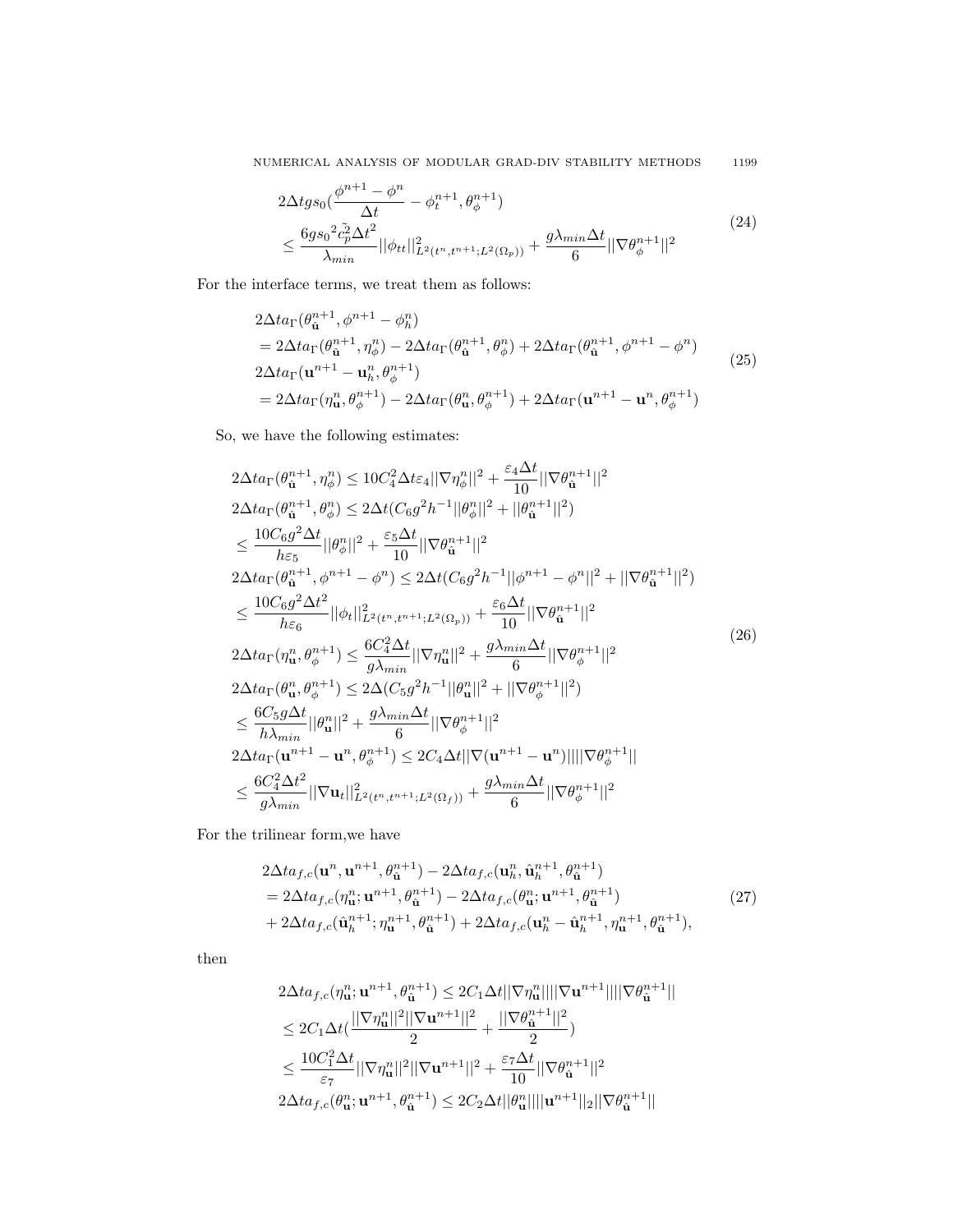$NUMERICAL$  ANALYSIS OF MODULAR GRAD-DIV STABILITY METHODS  $1199\,$ 

$$
2\Delta t g_{s_0}(\frac{\phi^{n+1} - \phi^n}{\Delta t} - \phi_t^{n+1}, \theta_{\phi}^{n+1})
$$
  

$$
\leq \frac{6g_{s_0}{}^2 \tilde{c}_p^2 \Delta t^2}{\lambda_{min}} ||\phi_{tt}||_{L^2(t^n, t^{n+1}; L^2(\Omega_p))}^2 + \frac{g\lambda_{min}\Delta t}{6} ||\nabla \theta_{\phi}^{n+1}||^2
$$
 (24)

For the interface terms, we treat them as follows:

$$
2\Delta t a_{\Gamma}(\theta_{\hat{\mathbf{u}}}^{n+1}, \phi^{n+1} - \phi_{h}^{n})
$$
  
=  $2\Delta t a_{\Gamma}(\theta_{\hat{\mathbf{u}}}^{n+1}, \eta_{\phi}^{n}) - 2\Delta t a_{\Gamma}(\theta_{\hat{\mathbf{u}}}^{n+1}, \theta_{\phi}^{n}) + 2\Delta t a_{\Gamma}(\theta_{\hat{\mathbf{u}}}^{n+1}, \phi^{n+1} - \phi^{n})$   
 $2\Delta t a_{\Gamma}(\mathbf{u}^{n+1} - \mathbf{u}_{h}^{n}, \theta_{\phi}^{n+1})$   
=  $2\Delta t a_{\Gamma}(\eta_{\mathbf{u}}^{n}, \theta_{\phi}^{n+1}) - 2\Delta t a_{\Gamma}(\theta_{\mathbf{u}}^{n}, \theta_{\phi}^{n+1}) + 2\Delta t a_{\Gamma}(\mathbf{u}^{n+1} - \mathbf{u}^{n}, \theta_{\phi}^{n+1})$  (25)

So, we have the following estimates:

$$
2\Delta t a_{\Gamma}(\theta_{\hat{\mathbf{u}}}^{n+1}, \eta_{\phi}^{n}) \leq 10C_{4}^{2}\Delta t \varepsilon_{4} ||\nabla \eta_{\phi}^{n}||^{2} + \frac{\varepsilon_{4}\Delta t}{10} ||\nabla \theta_{\hat{\mathbf{u}}}^{n+1}||^{2}
$$
\n
$$
2\Delta t a_{\Gamma}(\theta_{\hat{\mathbf{u}}}^{n+1}, \theta_{\phi}^{n}) \leq 2\Delta t (C_{6}g^{2}h^{-1}||\theta_{\phi}^{n}||^{2} + ||\theta_{\hat{\mathbf{u}}}^{n+1}||^{2})
$$
\n
$$
\leq \frac{10C_{6}g^{2}\Delta t}{h\varepsilon_{5}} ||\theta_{\phi}^{n}||^{2} + \frac{\varepsilon_{5}\Delta t}{10} ||\nabla \theta_{\hat{\mathbf{u}}}^{n+1}||^{2}
$$
\n
$$
2\Delta t a_{\Gamma}(\theta_{\hat{\mathbf{u}}}^{n+1}, \phi^{n+1} - \phi^{n}) \leq 2\Delta t (C_{6}g^{2}h^{-1}||\phi^{n+1} - \phi^{n}||^{2} + ||\nabla \theta_{\hat{\mathbf{u}}}^{n+1}||^{2})
$$
\n
$$
\leq \frac{10C_{6}g^{2}\Delta t^{2}}{h\varepsilon_{6}} ||\phi_{t}||_{L^{2}(t^{n}, t^{n+1}; L^{2}(\Omega_{p}))}^{2} + \frac{\varepsilon_{6}\Delta t}{10} ||\nabla \theta_{\hat{\mathbf{u}}}^{n+1}||^{2}
$$
\n
$$
2\Delta t a_{\Gamma}(\eta_{\mathbf{u}}^{n}, \theta_{\phi}^{n+1}) \leq \frac{6C_{4}^{2}\Delta t}{g\lambda_{min}} ||\nabla \eta_{\mathbf{u}}^{n}||^{2} + \frac{g\lambda_{min}\Delta t}{6} ||\nabla \theta_{\phi}^{n+1}||^{2}
$$
\n
$$
2\Delta t a_{\Gamma}(\theta_{\mathbf{u}}^{n}, \theta_{\phi}^{n+1}) \leq 2\Delta (C_{5}g^{2}h^{-1}||\theta_{\mathbf{u}}^{n}||^{2} + ||\nabla \theta_{\phi}^{n+1}||^{2})
$$
\n<math display="block</math>

For the trilinear form,we have

$$
2\Delta t a_{f,c}(\mathbf{u}^{n}, \mathbf{u}^{n+1}, \theta_{\hat{\mathbf{u}}}^{n+1}) - 2\Delta t a_{f,c}(\mathbf{u}_{h}^{n}, \hat{\mathbf{u}}_{h}^{n+1}, \theta_{\hat{\mathbf{u}}}^{n+1})
$$
  
=  $2\Delta t a_{f,c}(\eta_{\mathbf{u}}^{n}; \mathbf{u}^{n+1}, \theta_{\hat{\mathbf{u}}}^{n+1}) - 2\Delta t a_{f,c}(\theta_{\mathbf{u}}^{n}; \mathbf{u}^{n+1}, \theta_{\hat{\mathbf{u}}}^{n+1})$   
+  $2\Delta t a_{f,c}(\hat{\mathbf{u}}_{h}^{n+1}; \eta_{\mathbf{u}}^{n+1}, \theta_{\hat{\mathbf{u}}}^{n+1}) + 2\Delta t a_{f,c}(\mathbf{u}_{h}^{n}, \hat{\mathbf{u}}_{h}^{n+1}, \eta_{\mathbf{u}}^{n+1}, \theta_{\hat{\mathbf{u}}}^{n+1}),$  (27)

then

$$
\begin{aligned} &2\Delta t a_{f,c}(\eta^n_{\mathbf{u}};\mathbf{u}^{n+1},\theta^{n+1}_{\hat{\mathbf{u}}})\leq 2C_1\Delta t||\nabla \eta^n_{\mathbf{u}}||||\nabla \mathbf{u}^{n+1}||||\nabla \theta^{n+1}_{\hat{\mathbf{u}}}||\\ &\leq 2C_1\Delta t (\frac{||\nabla \eta^n_{\mathbf{u}}||^2||\nabla \mathbf{u}^{n+1}||^2}{2}+\frac{||\nabla \theta^{n+1}_{\hat{\mathbf{u}}}|^2}{2})\\ &\leq \frac{10C_1^2\Delta t}{\varepsilon_7}||\nabla \eta^n_{\mathbf{u}}||^2||\nabla \mathbf{u}^{n+1}||^2+\frac{\varepsilon_7\Delta t}{10}||\nabla \theta^{n+1}_{\hat{\mathbf{u}}}||^2\\ &2\Delta t a_{f,c}(\theta^n_{\mathbf{u}};\mathbf{u}^{n+1},\theta^{n+1}_{\hat{\mathbf{u}}})\leq 2C_2\Delta t ||\theta^n_{\mathbf{u}}||||\mathbf{u}^{n+1}||_2||\nabla \theta^{n+1}_{\hat{\mathbf{u}}}|| \end{aligned}
$$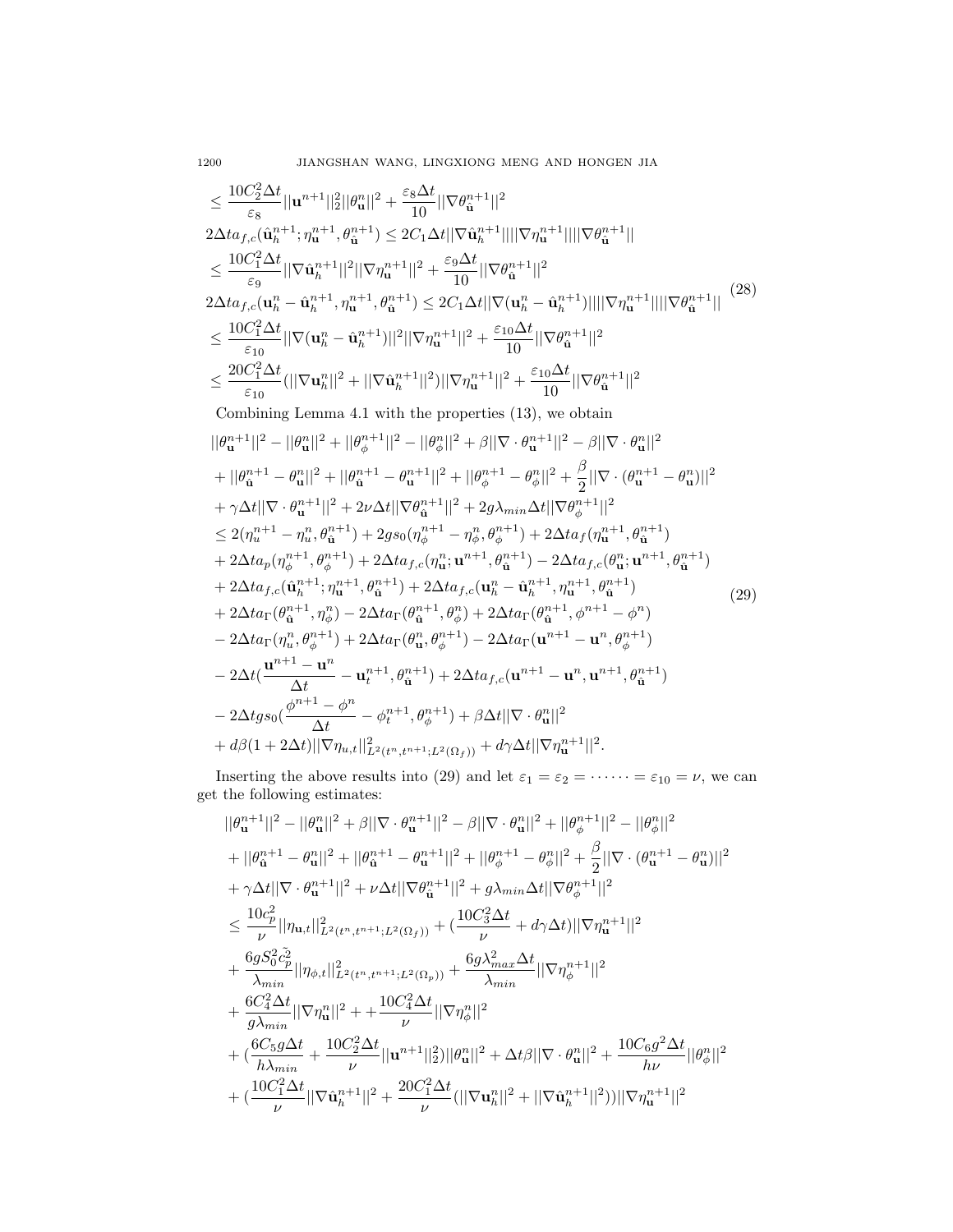$$
\leq \frac{10C_{2}^{2}\Delta t}{\varepsilon_{8}}||\mathbf{u}^{n+1}||_{2}^{2}||\theta_{\mathbf{u}}^{n}||^{2} + \frac{\varepsilon_{8}\Delta t}{10}||\nabla \theta_{\mathbf{u}}^{n+1}||^{2}}{10||\nabla \eta_{\mathbf{u}}^{n+1}|||||\nabla \eta_{\mathbf{u}}^{n+1}|||||\nabla \theta_{\mathbf{u}}^{n+1}||
$$
\n
$$
\leq \frac{10C_{1}^{2}\Delta t}{\varepsilon_{9}}||\nabla \tilde{\mathbf{u}}_{h}^{n+1}||^{2}||\nabla \eta_{\mathbf{u}}^{n+1}||^{2} + \frac{\varepsilon_{9}\Delta t}{10}||\nabla \theta_{\mathbf{u}}^{n+1}||^{2}
$$
\n
$$
2\Delta t a_{f,c}(\mathbf{u}_{h}^{n} - \hat{\mathbf{u}}_{h}^{n+1}, \eta_{\mathbf{u}}^{n+1}, \theta_{\mathbf{u}}^{n+1}) \leq 2C_{1}\Delta t ||\nabla (\mathbf{u}_{h}^{n} - \hat{\mathbf{u}}_{h}^{n+1})||||\nabla \eta_{\mathbf{u}}^{n+1}||^{2}
$$
\n
$$
2\Delta t a_{f,c}(\mathbf{u}_{h}^{n} - \hat{\mathbf{u}}_{h}^{n+1}, \eta_{\mathbf{u}}^{n+1})||^{2} + \frac{\varepsilon_{10}\Delta t}{10}||\nabla \theta_{\mathbf{u}}^{n+1}||^{2}
$$
\n
$$
\leq \frac{10C_{1}^{2}\Delta t}{\varepsilon_{10}}(||\nabla \mathbf{u}_{h}^{n}||^{2} + ||\nabla \hat{\mathbf{u}}_{h}^{n+1}||^{2})||\nabla \eta_{\mathbf{u}}^{n+1}||^{2} + \frac{\varepsilon_{10}\Delta t}{10}||\nabla \theta_{\mathbf{u}}^{n+1}||^{2}
$$
\n
$$
|\nabla \theta_{\mathbf{u}}^{n+1}||^{2}
$$
\n
$$
||\nabla \theta_{\mathbf{u}}^{n+1}||^{2} - ||\nabla \theta_{\mathbf{u}}^{n+1}||^{2
$$

Inserting the above results into (29) and let  $\varepsilon_1 = \varepsilon_2 = \cdots = \varepsilon_{10} = \nu$ , we can get the following estimates:

$$
\begin{split} &||\theta_{\mathbf{u}}^{n+1}||^2 - ||\theta_{\mathbf{u}}^{n}||^2 + \beta ||\nabla \cdot \theta_{\mathbf{u}}^{n+1}||^2 - \beta ||\nabla \cdot \theta_{\mathbf{u}}^{n}||^2 + ||\theta_{\phi}^{n+1}||^2 - ||\theta_{\phi}^{n}||^2 \\ &+ ||\theta_{\mathbf{u}}^{n+1} - \theta_{\mathbf{u}}^{n}||^2 + ||\theta_{\mathbf{u}}^{n+1} - \theta_{\mathbf{u}}^{n+1}||^2 + ||\theta_{\phi}^{n+1} - \theta_{\phi}^{n}||^2 + \frac{\beta}{2} ||\nabla \cdot (\theta_{\mathbf{u}}^{n+1} - \theta_{\mathbf{u}}^{n})||^2 \\ &+ \gamma \Delta t ||\nabla \cdot \theta_{\mathbf{u}}^{n+1}||^2 + \nu \Delta t ||\nabla \theta_{\mathbf{u}}^{n+1}||^2 + g\lambda_{min} \Delta t ||\nabla \theta_{\phi}^{n+1}||^2 \\ &\leq \frac{10c_p^2}{\nu} ||\eta_{\mathbf{u},t}||_{L^2(t^n,t^{n+1};L^2(\Omega_f))}^2 + (\frac{10C_3^2 \Delta t}{\nu} + d\gamma \Delta t) ||\nabla \eta_{\mathbf{u}}^{n+1}||^2 \\ &+ \frac{6gS_0^2 \tilde{c}_p^2}{\lambda_{min}} ||\eta_{\phi,t}||_{L^2(t^n,t^{n+1};L^2(\Omega_p))}^2 + \frac{6g\lambda_{max}^2 \Delta t}{\lambda_{min}} ||\nabla \eta_{\phi}^{n+1}||^2 \\ &+ \frac{6C_4^2 \Delta t}{g\lambda_{min}} ||\nabla \eta_{\mathbf{u}}^{n}||^2 + + \frac{10C_4^2 \Delta t}{\nu} ||\nabla \eta_{\phi}^{n}||^2 \\ &+ (\frac{6C_5 g \Delta t}{h\lambda_{min}} + \frac{10C_2^2 \Delta t}{\nu} ||\mathbf{u}^{n+1}||_2^2) ||\theta_{\mathbf{u}}^{n}||^2 + \Delta t \beta ||\nabla \cdot \theta_{\mathbf{u}}^{n}||^2 + \frac{10C_6 g^2 \Delta t}{h\nu} ||\theta_{\phi}^{n
$$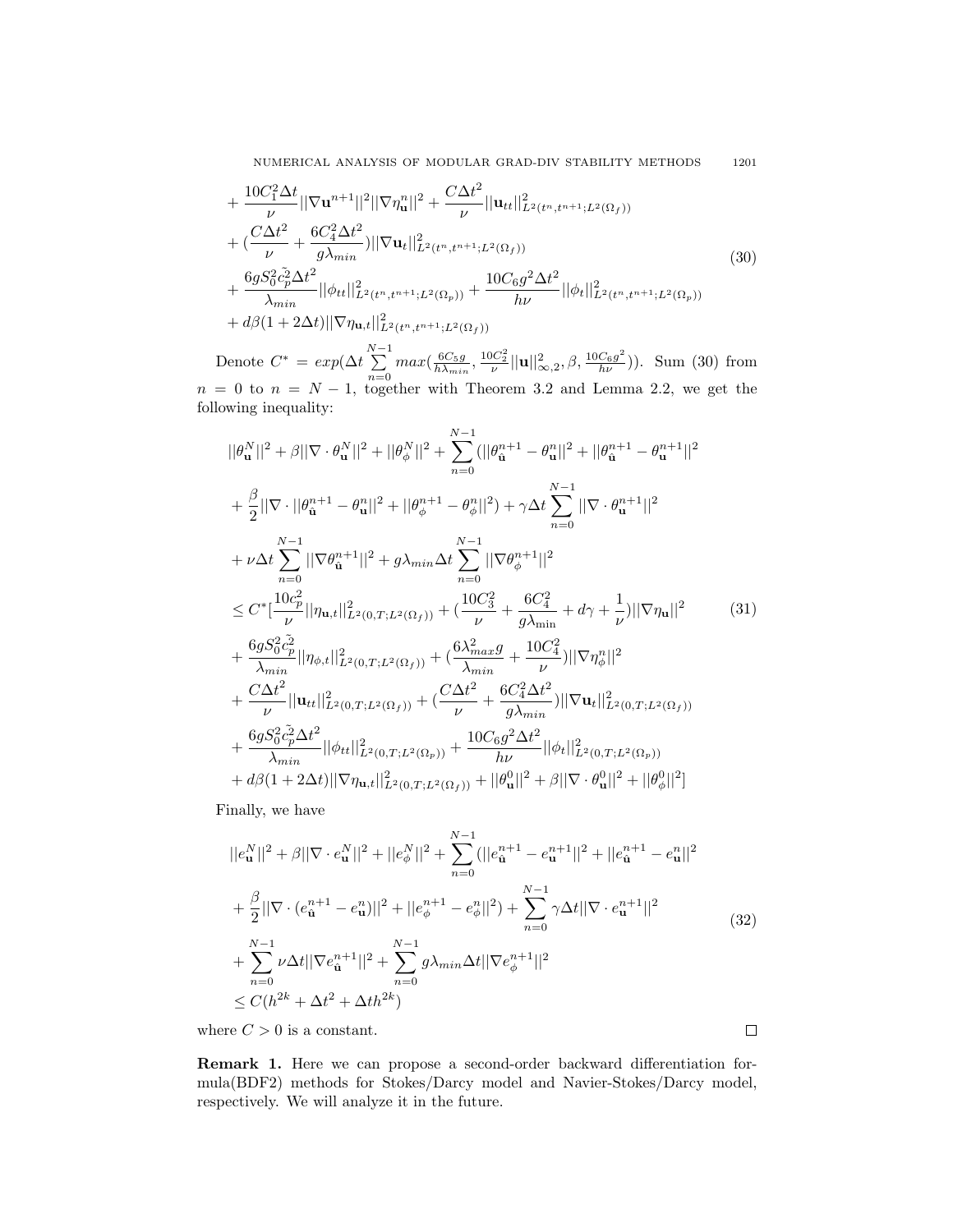NUMERICAL ANALYSIS OF MODULAR GRAD-DIV STABILITY METHODS 1201

$$
+ \frac{10C_1^2 \Delta t}{\nu} ||\nabla \mathbf{u}^{n+1}||^2 ||\nabla \eta_{\mathbf{u}}^n||^2 + \frac{C \Delta t^2}{\nu} ||\mathbf{u}_{tt}||_{L^2(t^n, t^{n+1}; L^2(\Omega_f))}^2 + (\frac{C \Delta t^2}{\nu} + \frac{6C_4^2 \Delta t^2}{g\lambda_{min}}) ||\nabla \mathbf{u}_t||_{L^2(t^n, t^{n+1}; L^2(\Omega_f))}^2 + \frac{6gS_0^2 \tilde{c}_p^2 \Delta t^2}{\lambda_{min}} ||\phi_{tt}||_{L^2(t^n, t^{n+1}; L^2(\Omega_p))}^2 + \frac{10C_6 g^2 \Delta t^2}{h\nu} ||\phi_t||_{L^2(t^n, t^{n+1}; L^2(\Omega_f))}^2 + d\beta (1 + 2\Delta t) ||\nabla \eta_{\mathbf{u},t}||_{L^2(t^n, t^{n+1}; L^2(\Omega_f))}^2
$$
\n(30)

Denote  $C^* = exp(\Delta t \sum_{n=1}^{N-1}$  $\sum_{n=0}^{N-1} max(\frac{6C_5g}{h\lambda_{min}}, \frac{10C_2^2}{\nu} ||\mathbf{u}||_{\infty,2}^2, \beta, \frac{10C_6g^2}{h\nu})$ ). Sum (30) from  $n = 0$  to  $n = N - 1$ , together with Theorem 3.2 and Lemma 2.2, we get the following inequality:

$$
||\theta_{\mathbf{u}}^{N}||^{2} + \beta ||\nabla \cdot \theta_{\mathbf{u}}^{N}||^{2} + ||\theta_{\phi}^{N}||^{2} + \sum_{n=0}^{N-1} (||\theta_{\mathbf{u}}^{n+1} - \theta_{\mathbf{u}}^{n}||^{2} + ||\theta_{\mathbf{u}}^{n+1} - \theta_{\mathbf{u}}^{n+1}||^{2} + \frac{\beta}{2} ||\nabla \cdot ||\theta_{\mathbf{u}}^{n+1} - \theta_{\mathbf{u}}^{n}||^{2} + ||\theta_{\phi}^{n+1} - \theta_{\phi}^{n}||^{2}) + \gamma \Delta t \sum_{n=0}^{N-1} ||\nabla \cdot \theta_{\mathbf{u}}^{n+1}||^{2} + \nu \Delta t \sum_{n=0}^{N-1} ||\nabla \theta_{\mathbf{u}}^{n+1}||^{2} + g\lambda_{min} \Delta t \sum_{n=0}^{N-1} ||\nabla \theta_{\phi}^{n+1}||^{2} \n\leq C^{*} \left[\frac{10c_{p}^{2}}{\nu} ||\eta_{\mathbf{u},t}||_{L^{2}(0,T;L^{2}(\Omega_{f}))}^{2} + \left(\frac{10C_{3}^{2}}{\nu} + \frac{6C_{4}^{2}}{g\lambda_{min}} + d\gamma + \frac{1}{\nu}\right) ||\nabla \eta_{\mathbf{u}}||^{2} + \frac{6gS_{0}^{2}\tilde{c}_{p}^{2}}{\lambda_{min}} ||\eta_{\phi,t}||_{L^{2}(0,T;L^{2}(\Omega_{f}))}^{2} + \left(\frac{6\lambda_{max}^{2}g}{\lambda_{min}} + \frac{10C_{4}^{2}}{\nu}\right) ||\nabla \eta_{\phi}^{n}||^{2} + \frac{C\Delta t^{2}}{\nu} ||\mathbf{u}_{tt}||_{L^{2}(0,T;L^{2}(\Omega_{f}))}^{2} + \left(\frac{C\Delta t^{2}}{\nu} + \frac{6C_{4}^{2}\Delta t^{2}}{g\lambda_{min}}\right) ||\nabla \mathbf{u}_{t}||_{L^{2}(0,T;L^{2}(\Omega_{f}))}^{2} + \frac{6gS_{0}^{2}\tilde{c}_{p}^{2}\Delta t^{2}}{\lambda_{min}} ||\phi_{tt}
$$

Finally, we have

$$
||e_{\mathbf{u}}^{N}||^{2} + \beta ||\nabla \cdot e_{\mathbf{u}}^{N}||^{2} + ||e_{\phi}^{N}||^{2} + \sum_{n=0}^{N-1} (||e_{\hat{\mathbf{u}}}^{n+1} - e_{\mathbf{u}}^{n+1}||^{2} + ||e_{\hat{\mathbf{u}}}^{n+1} - e_{\mathbf{u}}^{n}||^{2} + \frac{\beta}{2} ||\nabla \cdot (e_{\hat{\mathbf{u}}}^{n+1} - e_{\mathbf{u}}^{n})||^{2} + ||e_{\phi}^{n+1} - e_{\phi}^{n}||^{2}) + \sum_{n=0}^{N-1} \gamma \Delta t ||\nabla \cdot e_{\mathbf{u}}^{n+1}||^{2} + \sum_{n=0}^{N-1} \nu \Delta t ||\nabla e_{\hat{\mathbf{u}}}^{n+1}||^{2} + \sum_{n=0}^{N-1} g \lambda_{min} \Delta t ||\nabla e_{\phi}^{n+1}||^{2} \n\leq C (h^{2k} + \Delta t^{2} + \Delta th^{2k})
$$
\n(32)

where  ${\cal C}>0$  is a constant.

Remark 1. Here we can propose a second-order backward differentiation formula(BDF2) methods for Stokes/Darcy model and Navier-Stokes/Darcy model, respectively. We will analyze it in the future.

 $\Box$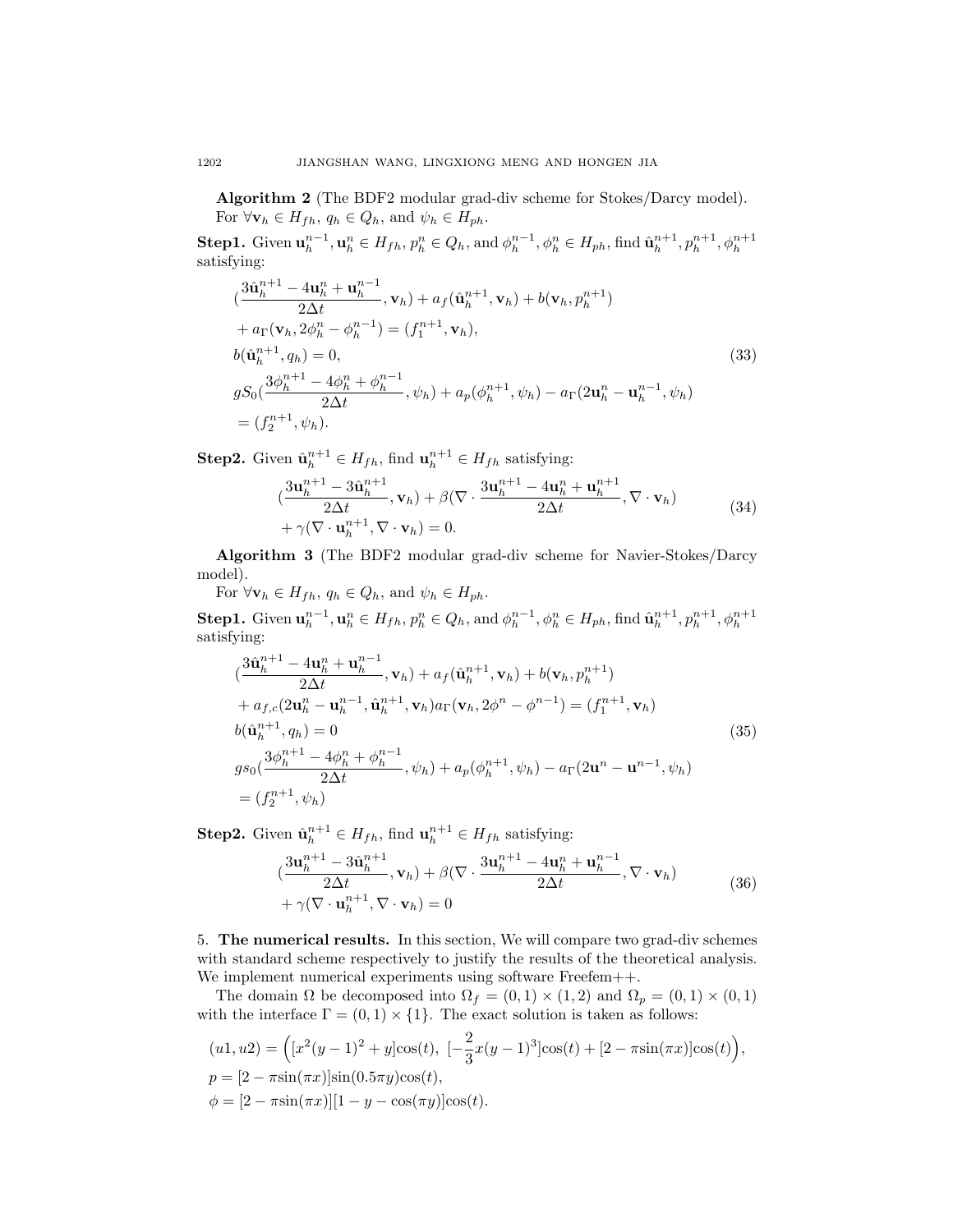Algorithm 2 (The BDF2 modular grad-div scheme for Stokes/Darcy model). For  $\forall \mathbf{v}_h \in H_{fh}, q_h \in Q_h$ , and  $\psi_h \in H_{ph}$ .

**Step1.** Given  $\mathbf{u}_h^{n-1}, \mathbf{u}_h^n \in H_{fh}, p_h^n \in Q_h$ , and  $\phi_h^{n-1}, \phi_h^n \in H_{ph}$ , find  $\hat{\mathbf{u}}_h^{n+1}, p_h^{n+1}, \phi_h^{n+1}$ satisfying:

$$
\begin{aligned}\n(\frac{3\hat{\mathbf{u}}_h^{n+1} - 4\mathbf{u}_h^n + \mathbf{u}_h^{n-1}}{2\Delta t}, \mathbf{v}_h) + a_f(\hat{\mathbf{u}}_h^{n+1}, \mathbf{v}_h) + b(\mathbf{v}_h, p_h^{n+1}) \\
&+ a_\Gamma(\mathbf{v}_h, 2\phi_h^n - \phi_h^{n-1}) = (f_1^{n+1}, \mathbf{v}_h), \\
b(\hat{\mathbf{u}}_h^{n+1}, q_h) = 0, \\
gS_0(\frac{3\phi_h^{n+1} - 4\phi_h^n + \phi_h^{n-1}}{2\Delta t}, \psi_h) + a_p(\phi_h^{n+1}, \psi_h) - a_\Gamma(2\mathbf{u}_h^n - \mathbf{u}_h^{n-1}, \psi_h) \\
&= (f_2^{n+1}, \psi_h).\n\end{aligned}
$$
\n(33)

**Step2.** Given  $\hat{\mathbf{u}}_h^{n+1} \in H_{fh}$ , find  $\mathbf{u}_h^{n+1} \in H_{fh}$  satisfying:

$$
\begin{aligned} &(\frac{3\mathbf{u}_h^{n+1} - 3\hat{\mathbf{u}}_h^{n+1}}{2\Delta t}, \mathbf{v}_h) + \beta(\nabla \cdot \frac{3\mathbf{u}_h^{n+1} - 4\mathbf{u}_h^n + \mathbf{u}_h^{n+1}}{2\Delta t}, \nabla \cdot \mathbf{v}_h) \\ &+ \gamma(\nabla \cdot \mathbf{u}_h^{n+1}, \nabla \cdot \mathbf{v}_h) = 0. \end{aligned} \tag{34}
$$

Algorithm 3 (The BDF2 modular grad-div scheme for Navier-Stokes/Darcy model).

For  $\forall \mathbf{v}_h \in H_{fh}, q_h \in Q_h$ , and  $\psi_h \in H_{ph}$ .

**Step1.** Given  $\mathbf{u}_h^{n-1}, \mathbf{u}_h^n \in H_{fh}, p_h^n \in Q_h$ , and  $\phi_h^{n-1}, \phi_h^n \in H_{ph}$ , find  $\hat{\mathbf{u}}_h^{n+1}, p_h^{n+1}, \phi_h^{n+1}$ satisfying:

$$
\begin{aligned}\n(\frac{3\hat{\mathbf{u}}_h^{n+1} - 4\mathbf{u}_h^n + \mathbf{u}_h^{n-1}}{2\Delta t}, \mathbf{v}_h) + a_f(\hat{\mathbf{u}}_h^{n+1}, \mathbf{v}_h) + b(\mathbf{v}_h, p_h^{n+1}) \\
+ a_{f,c}(2\mathbf{u}_h^n - \mathbf{u}_h^{n-1}, \hat{\mathbf{u}}_h^{n+1}, \mathbf{v}_h) a_\Gamma(\mathbf{v}_h, 2\phi^n - \phi^{n-1}) &= (f_1^{n+1}, \mathbf{v}_h) \\
b(\hat{\mathbf{u}}_h^{n+1}, q_h) &= 0 \\
g_{80}(\frac{3\phi_h^{n+1} - 4\phi_h^n + \phi_h^{n-1}}{2\Delta t}, \psi_h) + a_p(\phi_h^{n+1}, \psi_h) - a_\Gamma(2\mathbf{u}^n - \mathbf{u}^{n-1}, \psi_h) \\
&= (f_2^{n+1}, \psi_h)\n\end{aligned}\n\tag{35}
$$

**Step2.** Given  $\hat{\mathbf{u}}_h^{n+1} \in H_{fh}$ , find  $\mathbf{u}_h^{n+1} \in H_{fh}$  satisfying:

$$
\begin{aligned} &(\frac{3\mathbf{u}_h^{n+1} - 3\hat{\mathbf{u}}_h^{n+1}}{2\Delta t}, \mathbf{v}_h) + \beta(\nabla \cdot \frac{3\mathbf{u}_h^{n+1} - 4\mathbf{u}_h^n + \mathbf{u}_h^{n-1}}{2\Delta t}, \nabla \cdot \mathbf{v}_h) \\ &+ \gamma(\nabla \cdot \mathbf{u}_h^{n+1}, \nabla \cdot \mathbf{v}_h) = 0 \end{aligned} \tag{36}
$$

5. The numerical results. In this section, We will compare two grad-div schemes with standard scheme respectively to justify the results of the theoretical analysis. We implement numerical experiments using software Freefem++.

The domain  $\Omega$  be decomposed into  $\Omega_f = (0,1) \times (1,2)$  and  $\Omega_p = (0,1) \times (0,1)$ with the interface  $\Gamma = (0,1) \times \{1\}$ . The exact solution is taken as follows:

$$
(u1, u2) = ( [x2(y-1)2 + y]cos(t), [-\frac{2}{3}x(y-1)3]cos(t) + [2 - \pi sin(\pi x)]cos(t)),
$$
  
\n
$$
p = [2 - \pi sin(\pi x)]sin(0.5\pi y)cos(t),
$$
  
\n
$$
\phi = [2 - \pi sin(\pi x)][1 - y - cos(\pi y)]cos(t).
$$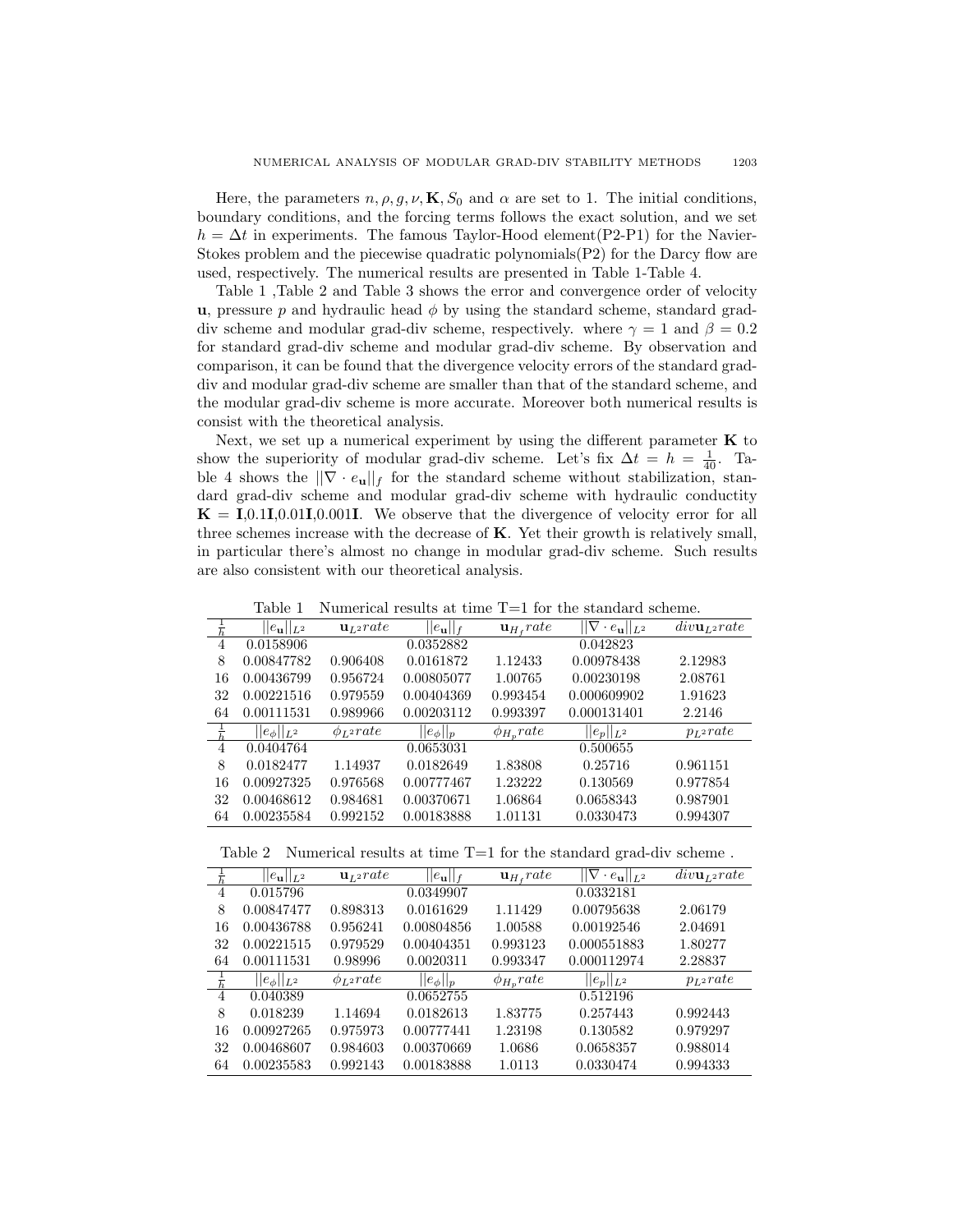Here, the parameters  $n, \rho, q, \nu, \mathbf{K}, S_0$  and  $\alpha$  are set to 1. The initial conditions, boundary conditions, and the forcing terms follows the exact solution, and we set  $h = \Delta t$  in experiments. The famous Taylor-Hood element(P2-P1) for the Navier-Stokes problem and the piecewise quadratic polynomials(P2) for the Darcy flow are used, respectively. The numerical results are presented in Table 1-Table 4.

Table 1 ,Table 2 and Table 3 shows the error and convergence order of velocity **u**, pressure p and hydraulic head  $\phi$  by using the standard scheme, standard graddiv scheme and modular grad-div scheme, respectively. where  $\gamma = 1$  and  $\beta = 0.2$ for standard grad-div scheme and modular grad-div scheme. By observation and comparison, it can be found that the divergence velocity errors of the standard graddiv and modular grad-div scheme are smaller than that of the standard scheme, and the modular grad-div scheme is more accurate. Moreover both numerical results is consist with the theoretical analysis.

Next, we set up a numerical experiment by using the different parameter  $\bf{K}$  to show the superiority of modular grad-div scheme. Let's fix  $\Delta t = h = \frac{1}{40}$ . Table 4 shows the  $||\nabla \cdot e_{\mathbf{u}}||_f$  for the standard scheme without stabilization, standard grad-div scheme and modular grad-div scheme with hydraulic conductity  $\mathbf{K} = \mathbf{I}, 0.1\mathbf{I}, 0.01\mathbf{I}, 0.001\mathbf{I}$ . We observe that the divergence of velocity error for all three schemes increase with the decrease of  $K$ . Yet their growth is relatively small, in particular there's almost no change in modular grad-div scheme. Such results are also consistent with our theoretical analysis.

Table 1 Numerical results at time T=1 for the standard scheme.

|                | $  e_{\mathbf{u}}  _{L^2}$ | $\mathbf{u}_{L^2}$ rate | $  e_{\mathbf{u}}  _f$ | $\mathbf{u}_{H_f}$ rate | $  \nabla \cdot e_{\mathbf{u}}  _{L^2}$ | $div \mathbf{u}_{L^2} rate$ |
|----------------|----------------------------|-------------------------|------------------------|-------------------------|-----------------------------------------|-----------------------------|
| 4              | 0.0158906                  |                         | 0.0352882              |                         | 0.042823                                |                             |
| 8              | 0.00847782                 | 0.906408                | 0.0161872              | 1.12433                 | 0.00978438                              | 2.12983                     |
| 16             | 0.00436799                 | 0.956724                | 0.00805077             | 1.00765                 | 0.00230198                              | 2.08761                     |
| 32             | 0.00221516                 | 0.979559                | 0.00404369             | 0.993454                | 0.000609902                             | 1.91623                     |
| 64             | 0.00111531                 | 0.989966                | 0.00203112             | 0.993397                | 0.000131401                             | 2.2146                      |
|                | $  e_{\phi}  _{L^2}$       | $\phi_{L^2}$ rate       | $  e_{\phi}  _p$       | $\phi_{H_p} rate$       | $  e_p  _{L^2}$                         | $p_{L^2}rate$               |
| $\overline{4}$ | 0.0404764                  |                         | 0.0653031              |                         | 0.500655                                |                             |
| 8              | 0.0182477                  | 1.14937                 | 0.0182649              | 1.83808                 | 0.25716                                 | 0.961151                    |
| 16             | 0.00927325                 | 0.976568                | 0.00777467             | 1.23222                 | 0.130569                                | 0.977854                    |
| 32             | 0.00468612                 | 0.984681                | 0.00370671             | 1.06864                 | 0.0658343                               | 0.987901                    |
| 64             | 0.00235584                 | 0.992152                | 0.00183888             | 1.01131                 | 0.0330473                               | 0.994307                    |

Table 2 Numerical results at time  $T=1$  for the standard grad-div scheme.

|                | $  e_{\mathbf{u}}  _{L^2}$ | $\mathbf{u}_{L^2}$ rate | $  e_{\mathbf{u}}  _f$ | $\mathbf{u}_{H_f}$ rate | $  \nabla \cdot e_{\mathbf{u}}  _{L^2}$ | $div \mathbf{u}_{L^2} rate$ |
|----------------|----------------------------|-------------------------|------------------------|-------------------------|-----------------------------------------|-----------------------------|
| 4              | 0.015796                   |                         | 0.0349907              |                         | 0.0332181                               |                             |
| 8              | 0.00847477                 | 0.898313                | 0.0161629              | 1.11429                 | 0.00795638                              | 2.06179                     |
| 16             | 0.00436788                 | 0.956241                | 0.00804856             | 1.00588                 | 0.00192546                              | 2.04691                     |
| 32             | 0.00221515                 | 0.979529                | 0.00404351             | 0.993123                | 0.000551883                             | 1.80277                     |
| 64             | 0.00111531                 | 0.98996                 | 0.0020311              | 0.993347                | 0.000112974                             | 2.28837                     |
|                | $  e_{\phi}  _{L^2}$       | $\phi_{L^2} rate$       | $  e_{\phi}  _p$       | $\phi_{H_p}$ rate       | $  e_p  _{L^2}$                         | $p_{L^2}rate$               |
| $\overline{4}$ | 0.040389                   |                         | 0.0652755              |                         | 0.512196                                |                             |
| 8              | 0.018239                   | 1.14694                 | 0.0182613              | 1.83775                 | 0.257443                                | 0.992443                    |
| 16             | 0.00927265                 | 0.975973                | 0.00777441             | 1.23198                 | 0.130582                                | 0.979297                    |
| 32             | 0.00468607                 | 0.984603                | 0.00370669             | 1.0686                  | 0.0658357                               | 0.988014                    |
| 64             | 0.00235583                 | 0.992143                | 0.00183888             | 1.0113                  | 0.0330474                               | 0.994333                    |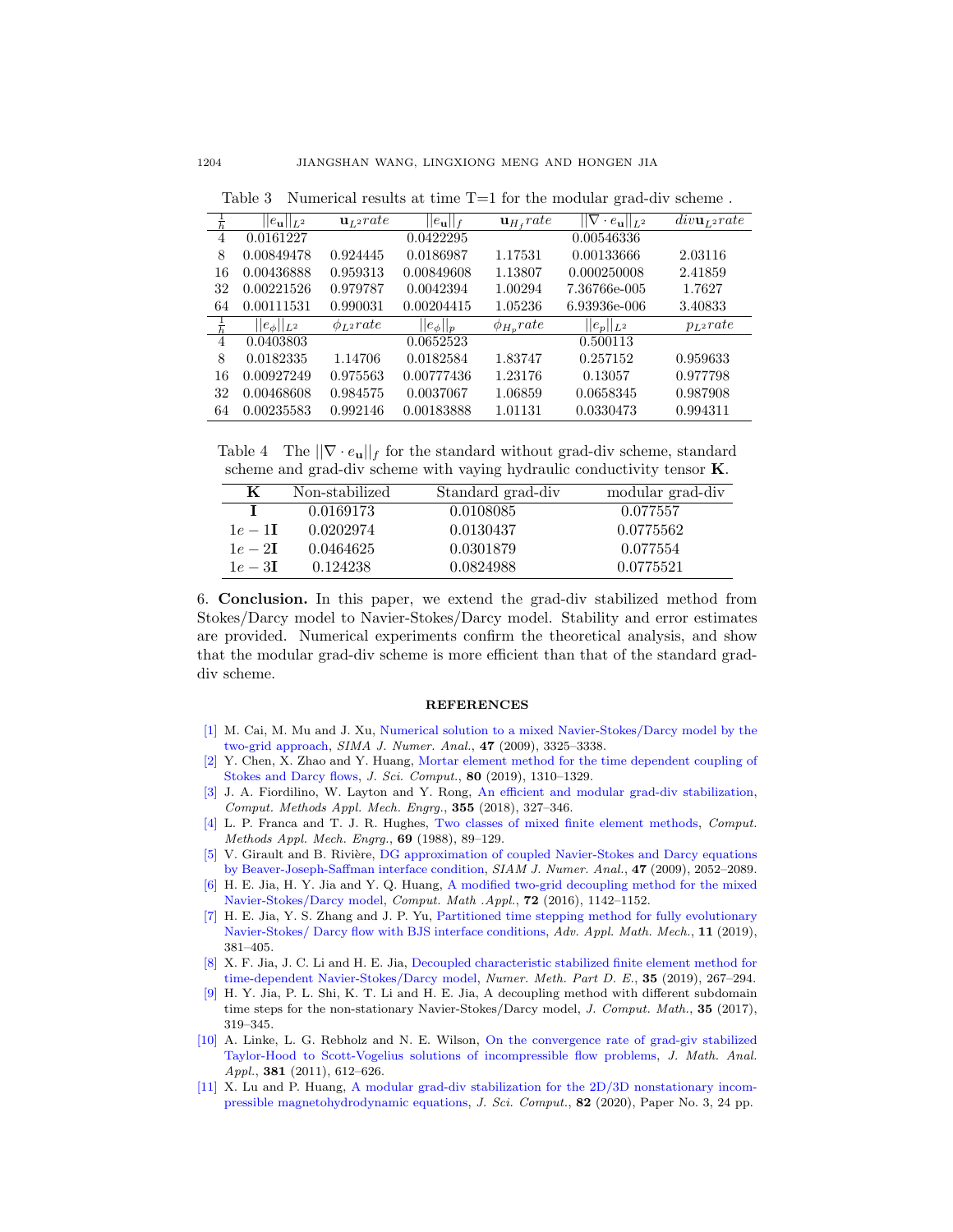|    | $  e_{\mathbf{u}}  _{L^2}$ | $\mathbf{u}_{L^2}$ rate | $  e_{\mathbf{u}}  _f$ | $\mathbf{u}_{H}$ , rate | $  \nabla \cdot e_{\mathbf{u}}  _{L^2}$ | $div \mathbf{u}_{L^2} rate$ |
|----|----------------------------|-------------------------|------------------------|-------------------------|-----------------------------------------|-----------------------------|
| 4  | 0.0161227                  |                         | 0.0422295              |                         | 0.00546336                              |                             |
| 8  | 0.00849478                 | 0.924445                | 0.0186987              | 1.17531                 | 0.00133666                              | 2.03116                     |
| 16 | 0.00436888                 | 0.959313                | 0.00849608             | 1.13807                 | 0.000250008                             | 2.41859                     |
| 32 | 0.00221526                 | 0.979787                | 0.0042394              | 1.00294                 | 7.36766e-005                            | 1.7627                      |
| 64 | 0.00111531                 | 0.990031                | 0.00204415             | 1.05236                 | 6.93936e-006                            | 3.40833                     |
|    | $  e_{\phi}  _{L^2}$       | $\phi_{L^2} rate$       | $  e_{\phi}  _p$       | $\phi_{H_n}$ rate       | $  e_p  _{L^2}$                         | $p_{L^2}rate$               |
| 4  | 0.0403803                  |                         | 0.0652523              |                         | 0.500113                                |                             |
| 8  | 0.0182335                  | 1.14706                 | 0.0182584              | 1.83747                 | 0.257152                                | 0.959633                    |
| 16 | 0.00927249                 | 0.975563                | 0.00777436             | 1.23176                 | 0.13057                                 | 0.977798                    |
| 32 | 0.00468608                 | 0.984575                | 0.0037067              | 1.06859                 | 0.0658345                               | 0.987908                    |
| 64 | 0.00235583                 | 0.992146                | 0.00183888             | 1.01131                 | 0.0330473                               | 0.994311                    |
|    |                            |                         |                        |                         |                                         |                             |

Table 3 Numerical results at time  $T=1$  for the modular grad-div scheme.

Table 4 The  $||\nabla \cdot e_{\mathbf{u}}||_f$  for the standard without grad-div scheme, standard scheme and grad-div scheme with vaying hydraulic conductivity tensor K.

| K                | Non-stabilized | Standard grad-div | modular grad-div |
|------------------|----------------|-------------------|------------------|
|                  | 0.0169173      | 0.0108085         | 0.077557         |
| $1e - 11$        | 0.0202974      | 0.0130437         | 0.0775562        |
| $1e-2\Gamma$     | 0.0464625      | 0.0301879         | 0.077554         |
| $1e-3\mathbf{I}$ | 0.124238       | 0.0824988         | 0.0775521        |
|                  |                |                   |                  |

6. Conclusion. In this paper, we extend the grad-div stabilized method from Stokes/Darcy model to Navier-Stokes/Darcy model. Stability and error estimates are provided. Numerical experiments confirm the theoretical analysis, and show that the modular grad-div scheme is more efficient than that of the standard graddiv scheme.

## REFERENCES

- <span id="page-13-1"></span>[\[1\]](http://www.ams.org/mathscinet-getitem?mr=MR2551196&return=pdf) M. Cai, M. Mu and J. Xu, [Numerical solution to a mixed Navier-Stokes/Darcy model by the](http://dx.doi.org/10.1137/080721868) [two-grid approach,](http://dx.doi.org/10.1137/080721868) SIMA J. Numer. Anal., 47 (2009), 3325–3338.
- <span id="page-13-5"></span>[\[2\]](http://www.ams.org/mathscinet-getitem?mr=MR3977207&return=pdf) Y. Chen, X. Zhao and Y. Huang, [Mortar element method for the time dependent coupling of](http://dx.doi.org/10.1007/s10915-019-00977-4) [Stokes and Darcy flows,](http://dx.doi.org/10.1007/s10915-019-00977-4) J. Sci. Comput., 80 (2019), 1310–1329.
- <span id="page-13-9"></span>[\[3\]](http://www.ams.org/mathscinet-getitem?mr=MR3785517&return=pdf) J. A. Fiordilino, W. Layton and Y. Rong, [An efficient and modular grad-div stabilization,](http://dx.doi.org/10.1016/j.cma.2018.02.023) Comput. Methods Appl. Mech. Engrg., 355 (2018), 327–346.
- <span id="page-13-7"></span>[\[4\]](http://www.ams.org/mathscinet-getitem?mr=MR953593&return=pdf) L. P. Franca and T. J. R. Hughes, [Two classes of mixed finite element methods,](http://dx.doi.org/10.1016/0045-7825(88)90168-5) Comput. Methods Appl. Mech. Engrg., 69 (1988), 89–129.
- <span id="page-13-0"></span>[\[5\]](http://www.ams.org/mathscinet-getitem?mr=MR2519594&return=pdf) V. Girault and B. Rivière, [DG approximation of coupled Navier-Stokes and Darcy equations](http://dx.doi.org/10.1137/070686081) [by Beaver-Joseph-Saffman interface condition,](http://dx.doi.org/10.1137/070686081) SIAM J. Numer. Anal., 47 (2009), 2052–2089.
- <span id="page-13-2"></span>[\[6\]](http://www.ams.org/mathscinet-getitem?mr=MR3529067&return=pdf) H. E. Jia, H. Y. Jia and Y. Q. Huang, [A modified two-grid decoupling method for the mixed](http://dx.doi.org/10.1016/j.camwa.2016.06.033) [Navier-Stokes/Darcy model,](http://dx.doi.org/10.1016/j.camwa.2016.06.033) Comput. Math .Appl., 72 (2016), 1142–1152.
- <span id="page-13-3"></span>[\[7\]](http://www.ams.org/mathscinet-getitem?mr=MR3911900&return=pdf) H. E. Jia, Y. S. Zhang and J. P. Yu, [Partitioned time stepping method for fully evolutionary](http://dx.doi.org/10.4208/aamm.oa-2018-0102) [Navier-Stokes/ Darcy flow with BJS interface conditions,](http://dx.doi.org/10.4208/aamm.oa-2018-0102) Adv. Appl. Math. Mech., 11 (2019), 381–405.
- <span id="page-13-4"></span>[\[8\]](http://www.ams.org/mathscinet-getitem?mr=MR3898066&return=pdf) X. F. Jia, J. C. Li and H. E. Jia, [Decoupled characteristic stabilized finite element method for](http://dx.doi.org/10.1002/num.22300) [time-dependent Navier-Stokes/Darcy model,](http://dx.doi.org/10.1002/num.22300) Numer. Meth. Part D. E., 35 (2019), 267–294.
- <span id="page-13-10"></span>[\[9\]](http://www.ams.org/mathscinet-getitem?mr=MR3647787&return=pdf) H. Y. Jia, P. L. Shi, K. T. Li and H. E. Jia, A decoupling method with different subdomain time steps for the non-stationary Navier-Stokes/Darcy model, J. Comput. Math., 35 (2017), 319–345.
- <span id="page-13-8"></span>[\[10\]](http://www.ams.org/mathscinet-getitem?mr=MR2802099&return=pdf) A. Linke, L. G. Rebholz and N. E. Wilson, [On the convergence rate of grad-giv stabilized](http://dx.doi.org/10.1016/j.jmaa.2011.03.019) [Taylor-Hood to Scott-Vogelius solutions of incompressible flow problems,](http://dx.doi.org/10.1016/j.jmaa.2011.03.019) J. Math. Anal. Appl., 381 (2011), 612–626.
- <span id="page-13-6"></span>[\[11\]](http://www.ams.org/mathscinet-getitem?mr=MR4049274&return=pdf) X. Lu and P. Huang, [A modular grad-div stabilization for the 2D/3D nonstationary incom](http://dx.doi.org/10.1007/s10915-019-01114-x)[pressible magnetohydrodynamic equations,](http://dx.doi.org/10.1007/s10915-019-01114-x) J. Sci. Comput., 82 (2020), Paper No. 3, 24 pp.